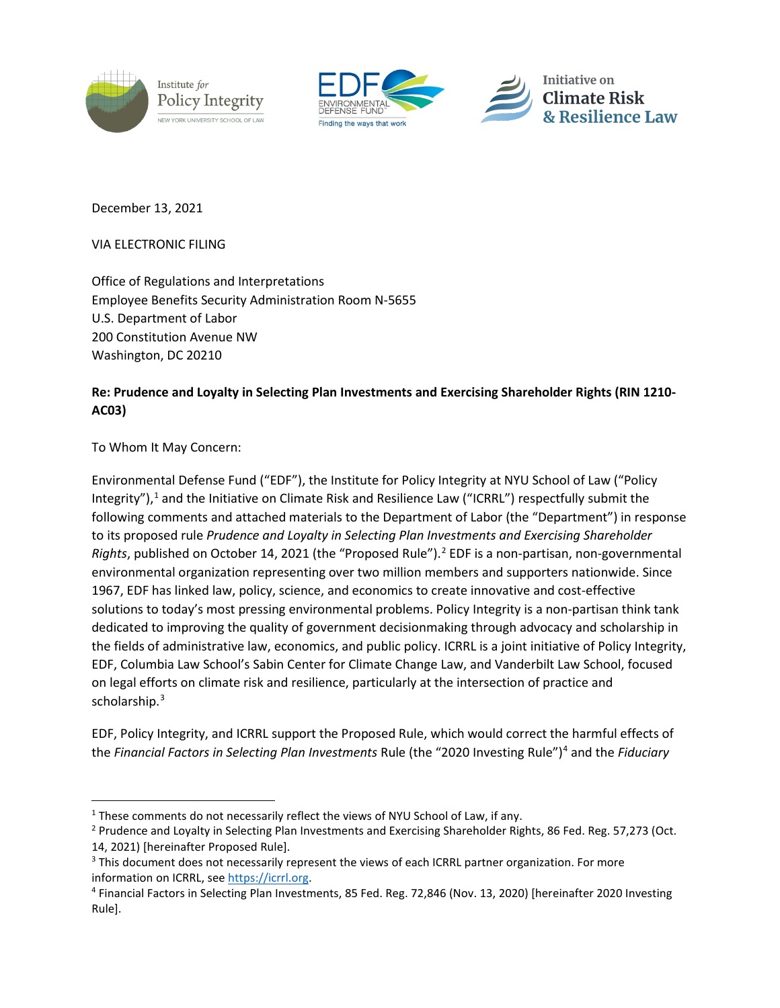





December 13, 2021

VIA ELECTRONIC FILING

Office of Regulations and Interpretations Employee Benefits Security Administration Room N-5655 U.S. Department of Labor 200 Constitution Avenue NW Washington, DC 20210

# **Re: Prudence and Loyalty in Selecting Plan Investments and Exercising Shareholder Rights (RIN 1210- AC03)**

To Whom It May Concern:

Environmental Defense Fund ("EDF"), the Institute for Policy Integrity at NYU School of Law ("Policy Integrity"), [1](#page-0-0) and the Initiative on Climate Risk and Resilience Law ("ICRRL") respectfully submit the following comments and attached materials to the Department of Labor (the "Department") in response to its proposed rule *Prudence and Loyalty in Selecting Plan Investments and Exercising Shareholder Rights*, published on October 14, [2](#page-0-1)021 (the "Proposed Rule").<sup>2</sup> EDF is a non-partisan, non-governmental environmental organization representing over two million members and supporters nationwide. Since 1967, EDF has linked law, policy, science, and economics to create innovative and cost-effective solutions to today's most pressing environmental problems. Policy Integrity is a non-partisan think tank dedicated to improving the quality of government decisionmaking through advocacy and scholarship in the fields of administrative law, economics, and public policy. ICRRL is a joint initiative of Policy Integrity, EDF, Columbia Law School's Sabin Center for Climate Change Law, and Vanderbilt Law School, focused on legal efforts on climate risk and resilience, particularly at the intersection of practice and scholarship.<sup>[3](#page-0-2)</sup>

EDF, Policy Integrity, and ICRRL support the Proposed Rule, which would correct the harmful effects of the *Financial Factors in Selecting Plan Investments* Rule (the "2020 Investing Rule")[4](#page-0-3) and the *Fiduciary* 

<span id="page-0-0"></span> $1$  These comments do not necessarily reflect the views of NYU School of Law, if any.

<span id="page-0-1"></span><sup>&</sup>lt;sup>2</sup> Prudence and Loyalty in Selecting Plan Investments and Exercising Shareholder Rights, 86 Fed. Reg. 57,273 (Oct. 14, 2021) [hereinafter Proposed Rule].

<span id="page-0-2"></span><sup>&</sup>lt;sup>3</sup> This document does not necessarily represent the views of each ICRRL partner organization. For more

<span id="page-0-3"></span>information on ICRRL, see *https://icrrl.org*.<br><sup>4</sup> Financial Factors in Selecting Plan Investments, 85 Fed. Reg. 72,846 (Nov. 13, 2020) [hereinafter 2020 Investing Rule].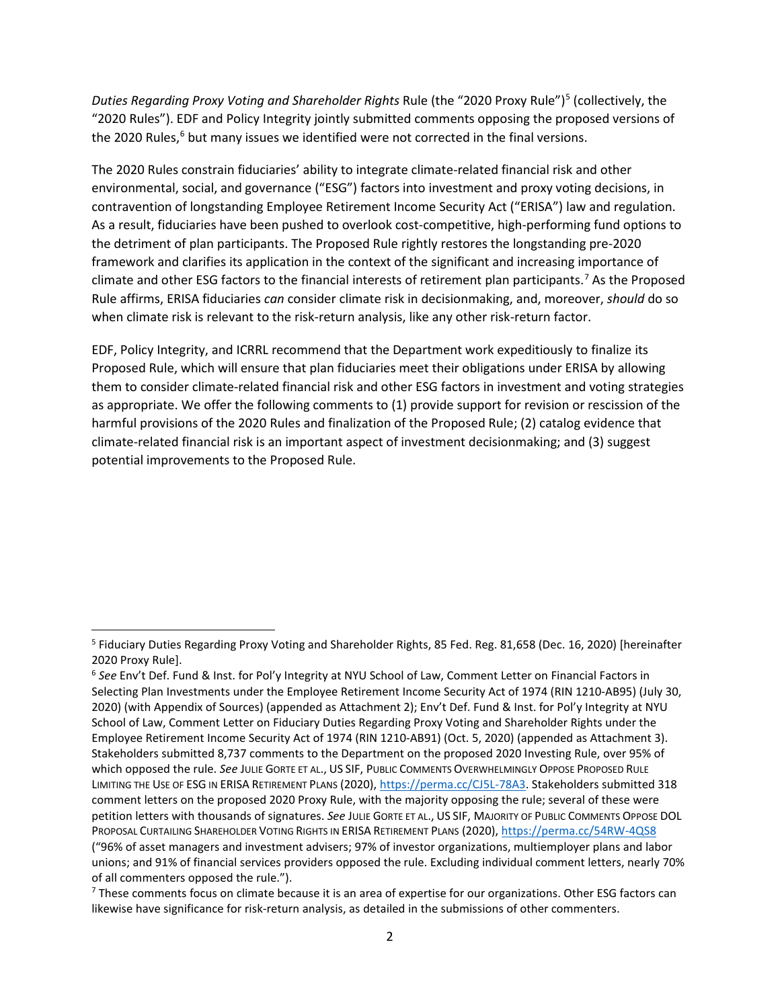*Duties Regarding Proxy Voting and Shareholder Rights* Rule (the "2020 Proxy Rule") [5](#page-1-0) (collectively, the "2020 Rules"). EDF and Policy Integrity jointly submitted comments opposing the proposed versions of the 2020 Rules,<sup>6</sup> but many issues we identified were not corrected in the final versions.

The 2020 Rules constrain fiduciaries' ability to integrate climate-related financial risk and other environmental, social, and governance ("ESG") factors into investment and proxy voting decisions, in contravention of longstanding Employee Retirement Income Security Act ("ERISA") law and regulation. As a result, fiduciaries have been pushed to overlook cost-competitive, high-performing fund options to the detriment of plan participants. The Proposed Rule rightly restores the longstanding pre-2020 framework and clarifies its application in the context of the significant and increasing importance of climate and other ESG factors to the financial interests of retirement plan participants. [7](#page-1-2) As the Proposed Rule affirms, ERISA fiduciaries *can* consider climate risk in decisionmaking, and, moreover, *should* do so when climate risk is relevant to the risk-return analysis, like any other risk-return factor.

EDF, Policy Integrity, and ICRRL recommend that the Department work expeditiously to finalize its Proposed Rule, which will ensure that plan fiduciaries meet their obligations under ERISA by allowing them to consider climate-related financial risk and other ESG factors in investment and voting strategies as appropriate. We offer the following comments to (1) provide support for revision or rescission of the harmful provisions of the 2020 Rules and finalization of the Proposed Rule; (2) catalog evidence that climate-related financial risk is an important aspect of investment decisionmaking; and (3) suggest potential improvements to the Proposed Rule.

<span id="page-1-0"></span><sup>5</sup> Fiduciary Duties Regarding Proxy Voting and Shareholder Rights, 85 Fed. Reg. 81,658 (Dec. 16, 2020) [hereinafter 2020 Proxy Rule].

<span id="page-1-1"></span><sup>6</sup> *See* Env't Def. Fund & Inst. for Pol'y Integrity at NYU School of Law, Comment Letter on Financial Factors in Selecting Plan Investments under the Employee Retirement Income Security Act of 1974 (RIN 1210-AB95) (July 30, 2020) (with Appendix of Sources) (appended as Attachment 2); Env't Def. Fund & Inst. for Pol'y Integrity at NYU School of Law, Comment Letter on Fiduciary Duties Regarding Proxy Voting and Shareholder Rights under the Employee Retirement Income Security Act of 1974 (RIN 1210-AB91) (Oct. 5, 2020) (appended as Attachment 3). Stakeholders submitted 8,737 comments to the Department on the proposed 2020 Investing Rule, over 95% of which opposed the rule. *See* JULIE GORTE ET AL., US SIF, PUBLIC COMMENTS OVERWHELMINGLY OPPOSE PROPOSED RULE LIMITING THE USE OF ESG IN ERISA RETIREMENT PLANS (2020), [https://perma.cc/CJ5L-78A3.](https://perma.cc/CJ5L-78A3) Stakeholders submitted 318 comment letters on the proposed 2020 Proxy Rule, with the majority opposing the rule; several of these were petition letters with thousands of signatures. *See* JULIE GORTE ET AL., US SIF, MAJORITY OF PUBLIC COMMENTS OPPOSE DOL PROPOSAL CURTAILING SHAREHOLDER VOTING RIGHTS IN ERISA RETIREMENT PLANS (2020),<https://perma.cc/54RW-4QS8> ("96% of asset managers and investment advisers; 97% of investor organizations, multiemployer plans and labor unions; and 91% of financial services providers opposed the rule. Excluding individual comment letters, nearly 70% of all commenters opposed the rule.").

<span id="page-1-2"></span><sup>&</sup>lt;sup>7</sup> These comments focus on climate because it is an area of expertise for our organizations. Other ESG factors can likewise have significance for risk-return analysis, as detailed in the submissions of other commenters.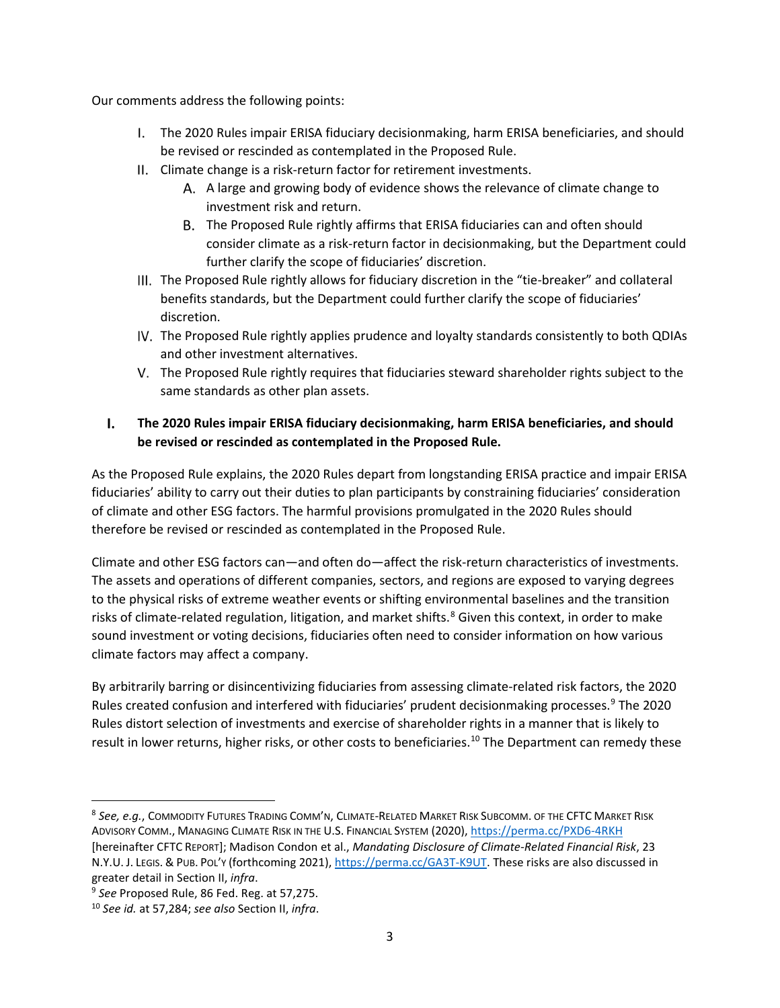Our comments address the following points:

- [The 2020 Rules impair ERISA fiduciary decisionmaking, harm ERISA beneficiaries, and should](#page-2-0)  [be revised or rescinded as contemplated in the Proposed Rule.](#page-2-0)
- [Climate change is a risk-return factor for retirement investments.](#page-3-0)
	- [A large and growing body of evidence shows the relevance of climate change to](#page-3-1)  [investment risk and return.](#page-3-1)
	- [The Proposed Rule rightly affirms that ERISA fiduciaries can and often should](#page-7-0)  [consider climate as a risk-return factor in decisionmaking, but the Department could](#page-7-0)  [further clarify the scope of fiduciaries' discretion.](#page-7-0)
- III. The Proposed Rule rightly allows for fiduciary discretion in the "tie-breaker" and collateral benefits [standards, but the Department could further clarify the scope of fiduciaries'](#page-10-0)  [discretion.](#page-10-0)
- IV. The Proposed Rule rightly applies prudence and loyalty standards consistently to both QDIAs [and other investment alternatives.](#page-12-0)
- [The Proposed Rule rightly requires that fiduciaries steward shareholder rights subject to the](#page-13-0)  [same standards as other plan assets.](#page-13-0)

#### <span id="page-2-0"></span> $\mathbf{L}$ **The 2020 Rules impair ERISA fiduciary decisionmaking, harm ERISA beneficiaries, and should be revised or rescinded as contemplated in the Proposed Rule.**

As the Proposed Rule explains, the 2020 Rules depart from longstanding ERISA practice and impair ERISA fiduciaries' ability to carry out their duties to plan participants by constraining fiduciaries' consideration of climate and other ESG factors. The harmful provisions promulgated in the 2020 Rules should therefore be revised or rescinded as contemplated in the Proposed Rule.

<span id="page-2-4"></span>Climate and other ESG factors can—and often do—affect the risk-return characteristics of investments. The assets and operations of different companies, sectors, and regions are exposed to varying degrees to the physical risks of extreme weather events or shifting environmental baselines and the transition risks of climate-related regulation, litigation, and market shifts. [8](#page-2-1) Given this context, in order to make sound investment or voting decisions, fiduciaries often need to consider information on how various climate factors may affect a company.

By arbitrarily barring or disincentivizing fiduciaries from assessing climate-related risk factors, the 2020 Rules created confusion and interfered with fiduciaries' prudent decisionmaking processes.<sup>[9](#page-2-2)</sup> The 2020 Rules distort selection of investments and exercise of shareholder rights in a manner that is likely to result in lower returns, higher risks, or other costs to beneficiaries.<sup>[10](#page-2-3)</sup> The Department can remedy these

<span id="page-2-1"></span><sup>8</sup> *See, e.g.*, COMMODITY FUTURES TRADING COMM'N, CLIMATE-RELATED MARKET RISK SUBCOMM. OF THE CFTC MARKET RISK ADVISORY COMM., MANAGING CLIMATE RISK IN THE U.S. FINANCIAL SYSTEM (2020)[, https://perma.cc/PXD6-4RKH](https://perma.cc/PXD6-4RKH) [hereinafter CFTC REPORT]; Madison Condon et al., *Mandating Disclosure of Climate-Related Financial Risk*, 23 N.Y.U. J. LEGIS. & PUB. POL'Y (forthcoming 2021), [https://perma.cc/GA3T-K9UT.](https://perma.cc/GA3T-K9UT) These risks are also discussed in greater detail in Section II, *infra*.

<span id="page-2-2"></span><sup>9</sup> *See* Proposed Rule, 86 Fed. Reg. at 57,275.

<span id="page-2-3"></span><sup>10</sup> *See id.* at 57,284; *see also* Section II, *infra*.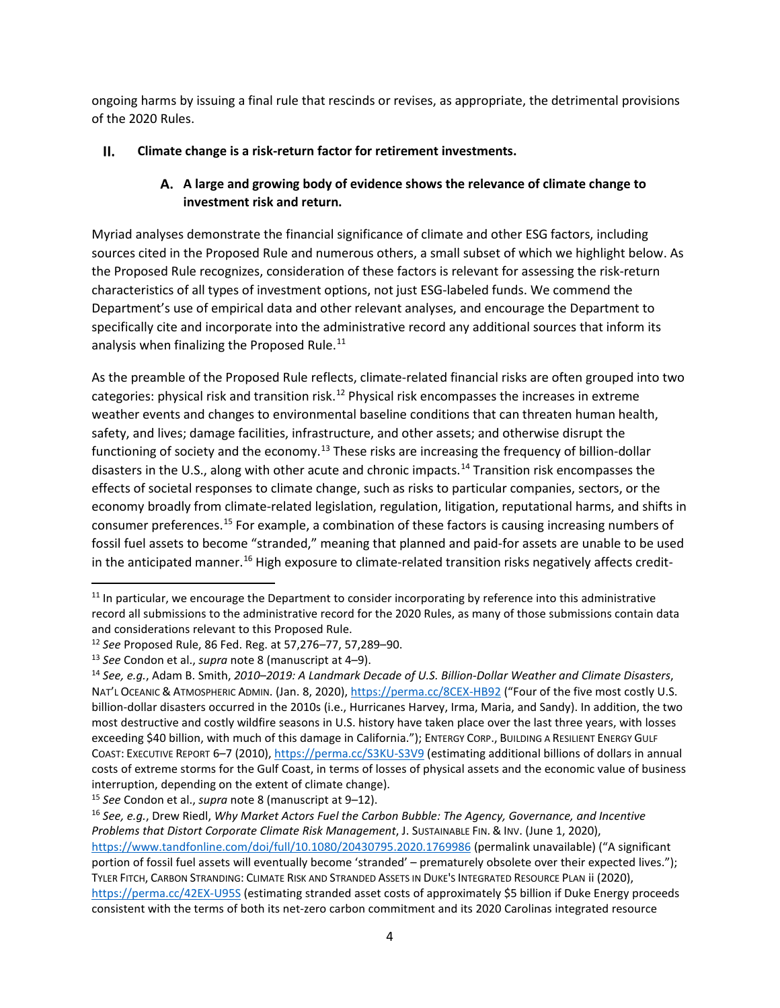ongoing harms by issuing a final rule that rescinds or revises, as appropriate, the detrimental provisions of the 2020 Rules.

#### <span id="page-3-1"></span><span id="page-3-0"></span> $II.$ **Climate change is a risk-return factor for retirement investments.**

# **A large and growing body of evidence shows the relevance of climate change to investment risk and return.**

Myriad analyses demonstrate the financial significance of climate and other ESG factors, including sources cited in the Proposed Rule and numerous others, a small subset of which we highlight below. As the Proposed Rule recognizes, consideration of these factors is relevant for assessing the risk-return characteristics of all types of investment options, not just ESG-labeled funds. We commend the Department's use of empirical data and other relevant analyses, and encourage the Department to specifically cite and incorporate into the administrative record any additional sources that inform its analysis when finalizing the Proposed Rule. $^{11}$ 

As the preamble of the Proposed Rule reflects, climate-related financial risks are often grouped into two categories: physical risk and transition risk.<sup>[12](#page-3-3)</sup> Physical risk encompasses the increases in extreme weather events and changes to environmental baseline conditions that can threaten human health, safety, and lives; damage facilities, infrastructure, and other assets; and otherwise disrupt the functioning of society and the economy.<sup>[13](#page-3-4)</sup> These risks are increasing the frequency of billion-dollar disasters in the U.S., along with other acute and chronic impacts.<sup>[14](#page-3-5)</sup> Transition risk encompasses the effects of societal responses to climate change, such as risks to particular companies, sectors, or the economy broadly from climate-related legislation, regulation, litigation, reputational harms, and shifts in consumer preferences.[15](#page-3-6) For example, a combination of these factors is causing increasing numbers of fossil fuel assets to become "stranded," meaning that planned and paid-for assets are unable to be used in the anticipated manner.<sup>[16](#page-3-7)</sup> High exposure to climate-related transition risks negatively affects credit-

<span id="page-3-2"></span><sup>&</sup>lt;sup>11</sup> In particular, we encourage the Department to consider incorporating by reference into this administrative record all submissions to the administrative record for the 2020 Rules, as many of those submissions contain data and considerations relevant to this Proposed Rule.

<span id="page-3-3"></span><sup>12</sup> *See* Proposed Rule, 86 Fed. Reg. at 57,276–77, 57,289–90.

<span id="page-3-4"></span><sup>13</sup> *See* Condon et al., *supra* note [8](#page-2-4) (manuscript at 4–9).

<span id="page-3-5"></span><sup>14</sup> *See, e.g.*, Adam B. Smith, *2010*–*2019: A Landmark Decade of U.S. Billion-Dollar Weather and Climate Disasters*, NAT'L OCEANIC & ATMOSPHERIC ADMIN. (Jan. 8, 2020)[, https://perma.cc/8CEX-HB92](https://perma.cc/8CEX-HB92) ("Four of the five most costly U.S. billion-dollar disasters occurred in the 2010s (i.e., Hurricanes Harvey, Irma, Maria, and Sandy). In addition, the two most destructive and costly wildfire seasons in U.S. history have taken place over the last three years, with losses exceeding \$40 billion, with much of this damage in California."); ENTERGY CORP., BUILDING A RESILIENT ENERGY GULF COAST: EXECUTIVE REPORT 6–7 (2010)[, https://perma.cc/S3KU-S3V9](https://perma.cc/S3KU-S3V9) (estimating additional billions of dollars in annual costs of extreme storms for the Gulf Coast, in terms of losses of physical assets and the economic value of business interruption, depending on the extent of climate change).

<span id="page-3-6"></span><sup>15</sup> *See* Condon et al., *supra* note [8](#page-2-4) (manuscript at 9–12).

<span id="page-3-7"></span><sup>16</sup> *See, e.g.*, Drew Riedl, *Why Market Actors Fuel the Carbon Bubble: The Agency, Governance, and Incentive Problems that Distort Corporate Climate Risk Management*, J. SUSTAINABLE FIN. & INV. (June 1, 2020), <https://www.tandfonline.com/doi/full/10.1080/20430795.2020.1769986> (permalink unavailable) ("A significant portion of fossil fuel assets will eventually become 'stranded' – prematurely obsolete over their expected lives."); TYLER FITCH, CARBON STRANDING: CLIMATE RISK AND STRANDED ASSETS IN DUKE'S INTEGRATED RESOURCE PLAN ii (2020), <https://perma.cc/42EX-U95S> (estimating stranded asset costs of approximately \$5 billion if Duke Energy proceeds consistent with the terms of both its net-zero carbon commitment and its 2020 Carolinas integrated resource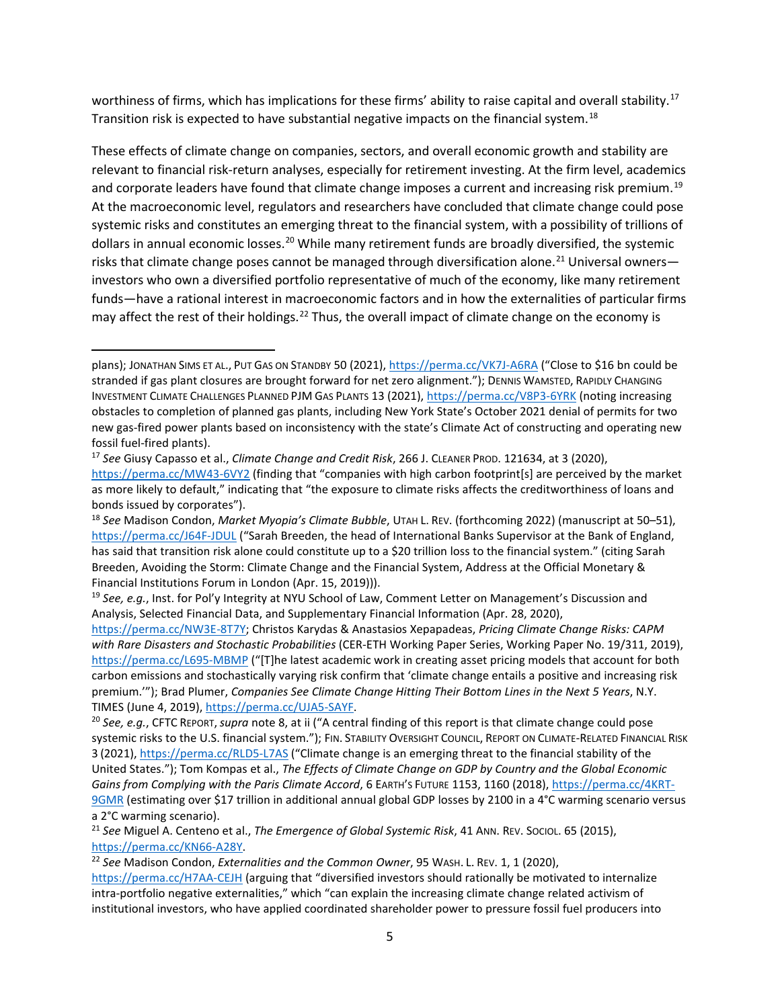<span id="page-4-6"></span>worthiness of firms, which has implications for these firms' ability to raise capital and overall stability.<sup>[17](#page-4-0)</sup> Transition risk is expected to have substantial negative impacts on the financial system.<sup>[18](#page-4-1)</sup>

These effects of climate change on companies, sectors, and overall economic growth and stability are relevant to financial risk-return analyses, especially for retirement investing. At the firm level, academics and corporate leaders have found that climate change imposes a current and increasing risk premium.<sup>[19](#page-4-2)</sup> At the macroeconomic level, regulators and researchers have concluded that climate change could pose systemic risks and constitutes an emerging threat to the financial system, with a possibility of trillions of dollars in annual economic losses.<sup>[20](#page-4-3)</sup> While many retirement funds are broadly diversified, the systemic risks that climate change poses cannot be managed through diversification alone.<sup>[21](#page-4-4)</sup> Universal owners investors who own a diversified portfolio representative of much of the economy, like many retirement funds—have a rational interest in macroeconomic factors and in how the externalities of particular firms may affect the rest of their holdings.<sup>[22](#page-4-5)</sup> Thus, the overall impact of climate change on the economy is

plans); JONATHAN SIMS ET AL., PUT GAS ON STANDBY 50 (2021)[, https://perma.cc/VK7J-A6RA](https://perma.cc/VK7J-A6RA) ("Close to \$16 bn could be stranded if gas plant closures are brought forward for net zero alignment."); DENNIS WAMSTED, RAPIDLY CHANGING INVESTMENT CLIMATE CHALLENGES PLANNED PJM GAS PLANTS 13 (2021),<https://perma.cc/V8P3-6YRK> (noting increasing obstacles to completion of planned gas plants, including New York State's October 2021 denial of permits for two new gas-fired power plants based on inconsistency with the state's Climate Act of constructing and operating new fossil fuel-fired plants).

<span id="page-4-0"></span><sup>17</sup> *See* Giusy Capasso et al., *Climate Change and Credit Risk*, 266 J. CLEANER PROD. 121634, at 3 (2020), <https://perma.cc/MW43-6VY2> (finding that "companies with high carbon footprint[s] are perceived by the market as more likely to default," indicating that "the exposure to climate risks affects the creditworthiness of loans and bonds issued by corporates").

<span id="page-4-1"></span><sup>18</sup> *See* Madison Condon, *Market Myopia's Climate Bubble*, UTAH L. REV. (forthcoming 2022) (manuscript at 50–51), <https://perma.cc/J64F-JDUL> ("Sarah Breeden, the head of International Banks Supervisor at the Bank of England, has said that transition risk alone could constitute up to a \$20 trillion loss to the financial system." (citing Sarah Breeden, Avoiding the Storm: Climate Change and the Financial System, Address at the Official Monetary & Financial Institutions Forum in London (Apr. 15, 2019))).

<span id="page-4-2"></span><sup>19</sup> *See, e.g.*, Inst. for Pol'y Integrity at NYU School of Law, Comment Letter on Management's Discussion and Analysis, Selected Financial Data, and Supplementary Financial Information (Apr. 28, 2020),

[https://perma.cc/NW3E-8T7Y;](https://perma.cc/NW3E-8T7Y) Christos Karydas & Anastasios Xepapadeas, *Pricing Climate Change Risks: CAPM with Rare Disasters and Stochastic Probabilities* (CER-ETH Working Paper Series, Working Paper No. 19/311, 2019), <https://perma.cc/L695-MBMP> ("[T]he latest academic work in creating asset pricing models that account for both carbon emissions and stochastically varying risk confirm that 'climate change entails a positive and increasing risk premium.'"); Brad Plumer, *Companies See Climate Change Hitting Their Bottom Lines in the Next 5 Years*, N.Y. TIMES (June 4, 2019)[, https://perma.cc/UJA5-SAYF.](https://perma.cc/UJA5-SAYF)<br><sup>20</sup> See, e.g., CFTC REPORT, *supra* note [8,](#page-2-4) at ii ("A central finding of this report is that climate change could pose

<span id="page-4-3"></span>systemic risks to the U.S. financial system."); FIN. STABILITY OVERSIGHT COUNCIL, REPORT ON CLIMATE-RELATED FINANCIAL RISK 3 (2021),<https://perma.cc/RLD5-L7AS> ("Climate change is an emerging threat to the financial stability of the United States."); Tom Kompas et al., *The Effects of Climate Change on GDP by Country and the Global Economic Gains from Complying with the Paris Climate Accord*, 6 EARTH'S FUTURE 1153, 1160 (2018)[, https://perma.cc/4KRT-](https://perma.cc/4KRT-9GMR)[9GMR](https://perma.cc/4KRT-9GMR) (estimating over \$17 trillion in additional annual global GDP losses by 2100 in a 4°C warming scenario versus a 2°C warming scenario).

<span id="page-4-4"></span><sup>21</sup> *See* Miguel A. Centeno et al., *The Emergence of Global Systemic Risk*, 41 ANN. REV. SOCIOL. 65 (2015), [https://perma.cc/KN66-A28Y.](https://perma.cc/KN66-A28Y) 22 *See* Madison Condon, *Externalities and the Common Owner*, 95 WASH. L. REV. 1, 1 (2020),

<span id="page-4-5"></span>

<https://perma.cc/H7AA-CEJH> (arguing that "diversified investors should rationally be motivated to internalize intra-portfolio negative externalities," which "can explain the increasing climate change related activism of institutional investors, who have applied coordinated shareholder power to pressure fossil fuel producers into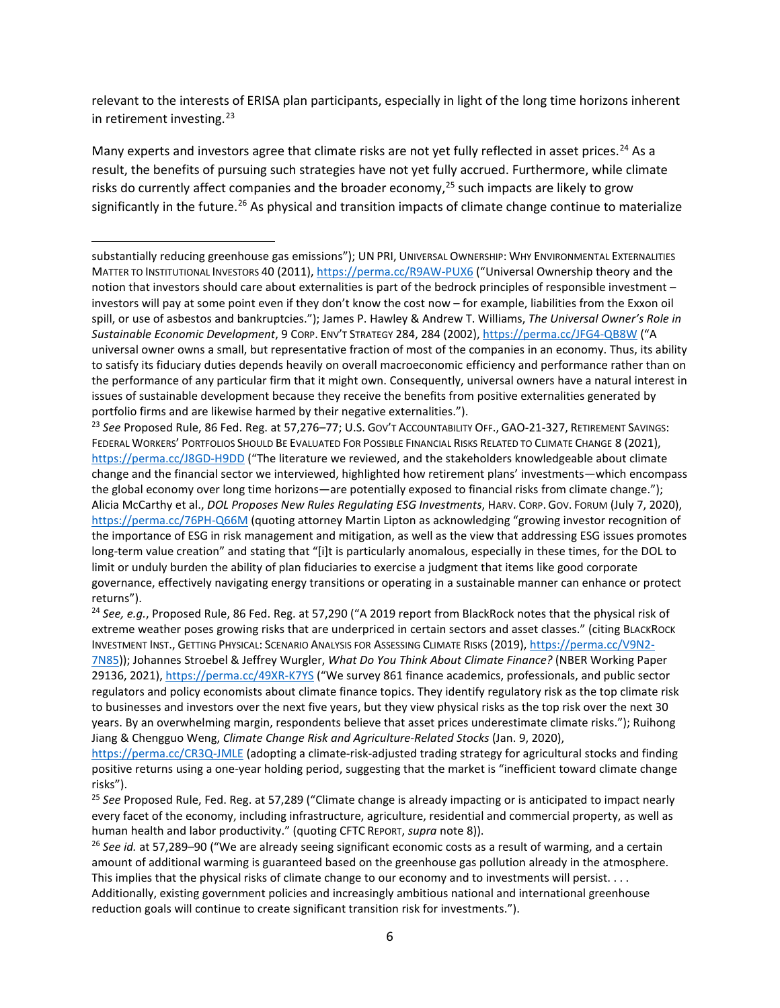relevant to the interests of ERISA plan participants, especially in light of the long time horizons inherent in retirement investing. $^{23}$  $^{23}$  $^{23}$ 

Many experts and investors agree that climate risks are not yet fully reflected in asset prices.<sup>[24](#page-5-1)</sup> As a result, the benefits of pursuing such strategies have not yet fully accrued. Furthermore, while climate risks do currently affect companies and the broader economy,<sup>[25](#page-5-2)</sup> such impacts are likely to grow significantly in the future.<sup>[26](#page-5-3)</sup> As physical and transition impacts of climate change continue to materialize

<span id="page-5-0"></span><sup>23</sup> *See* Proposed Rule, 86 Fed. Reg. at 57,276–77; U.S. GOV'T ACCOUNTABILITY OFF., GAO-21-327, RETIREMENT SAVINGS: FEDERAL WORKERS' PORTFOLIOS SHOULD BE EVALUATED FOR POSSIBLE FINANCIAL RISKS RELATED TO CLIMATE CHANGE 8 (2021), <https://perma.cc/J8GD-H9DD> ("The literature we reviewed, and the stakeholders knowledgeable about climate change and the financial sector we interviewed, highlighted how retirement plans' investments—which encompass the global economy over long time horizons—are potentially exposed to financial risks from climate change."); Alicia McCarthy et al., *DOL Proposes New Rules Regulating ESG Investments*, HARV. CORP. GOV. FORUM (July 7, 2020), <https://perma.cc/76PH-Q66M> (quoting attorney Martin Lipton as acknowledging "growing investor recognition of the importance of ESG in risk management and mitigation, as well as the view that addressing ESG issues promotes long-term value creation" and stating that "[i]t is particularly anomalous, especially in these times, for the DOL to limit or unduly burden the ability of plan fiduciaries to exercise a judgment that items like good corporate governance, effectively navigating energy transitions or operating in a sustainable manner can enhance or protect returns").

<span id="page-5-1"></span><sup>24</sup> *See, e.g.*, Proposed Rule, 86 Fed. Reg. at 57,290 ("A 2019 report from BlackRock notes that the physical risk of extreme weather poses growing risks that are underpriced in certain sectors and asset classes." (citing BLACKROCK INVESTMENT INST., GETTING PHYSICAL: SCENARIO ANALYSIS FOR ASSESSING CLIMATE RISKS (2019), [https://perma.cc/V9N2-](https://perma.cc/V9N2-7N85) [7N85\)](https://perma.cc/V9N2-7N85)); Johannes Stroebel & Jeffrey Wurgler, *What Do You Think About Climate Finance?* (NBER Working Paper 29136, 2021),<https://perma.cc/49XR-K7YS> ("We survey 861 finance academics, professionals, and public sector regulators and policy economists about climate finance topics. They identify regulatory risk as the top climate risk to businesses and investors over the next five years, but they view physical risks as the top risk over the next 30 years. By an overwhelming margin, respondents believe that asset prices underestimate climate risks."); Ruihong Jiang & Chengguo Weng, *Climate Change Risk and Agriculture-Related Stocks* (Jan. 9, 2020),

<https://perma.cc/CR3Q-JMLE> (adopting a climate-risk-adjusted trading strategy for agricultural stocks and finding positive returns using a one-year holding period, suggesting that the market is "inefficient toward climate change risks").

<span id="page-5-2"></span><sup>25</sup> *See* Proposed Rule, Fed. Reg. at 57,289 ("Climate change is already impacting or is anticipated to impact nearly every facet of the economy, including infrastructure, agriculture, residential and commercial property, as well as human health and labor productivity." (quoting CFTC REPORT, *supra* not[e 8\)](#page-2-4)).

<span id="page-5-3"></span><sup>26</sup> See id. at 57,289–90 ("We are already seeing significant economic costs as a result of warming, and a certain amount of additional warming is guaranteed based on the greenhouse gas pollution already in the atmosphere. This implies that the physical risks of climate change to our economy and to investments will persist. . . . Additionally, existing government policies and increasingly ambitious national and international greenhouse reduction goals will continue to create significant transition risk for investments.").

substantially reducing greenhouse gas emissions"); UN PRI, UNIVERSAL OWNERSHIP: WHY ENVIRONMENTAL EXTERNALITIES MATTER TO INSTITUTIONAL INVESTORS 40 (2011),<https://perma.cc/R9AW-PUX6> ("Universal Ownership theory and the notion that investors should care about externalities is part of the bedrock principles of responsible investment – investors will pay at some point even if they don't know the cost now – for example, liabilities from the Exxon oil spill, or use of asbestos and bankruptcies."); James P. Hawley & Andrew T. Williams, *The Universal Owner's Role in Sustainable Economic Development*, 9 CORP. ENV'T STRATEGY 284, 284 (2002),<https://perma.cc/JFG4-QB8W> ("A universal owner owns a small, but representative fraction of most of the companies in an economy. Thus, its ability to satisfy its fiduciary duties depends heavily on overall macroeconomic efficiency and performance rather than on the performance of any particular firm that it might own. Consequently, universal owners have a natural interest in issues of sustainable development because they receive the benefits from positive externalities generated by portfolio firms and are likewise harmed by their negative externalities.").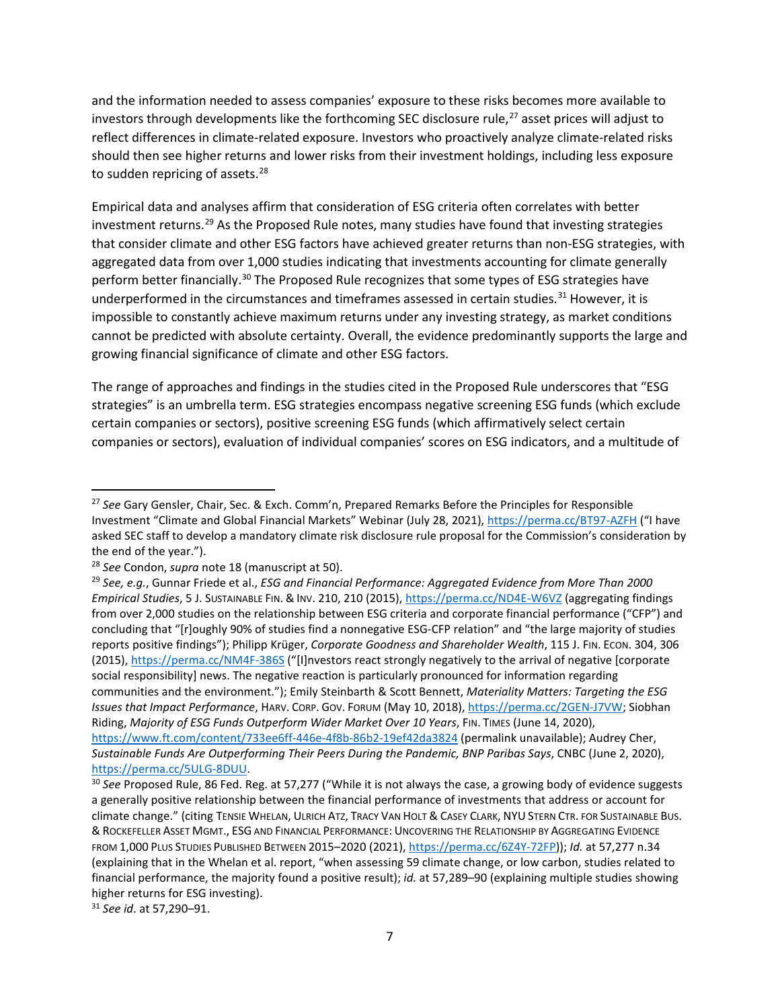and the information needed to assess companies' exposure to these risks becomes more available to investors through developments like the forthcoming SEC disclosure rule,<sup>[27](#page-6-0)</sup> asset prices will adjust to reflect differences in climate-related exposure. Investors who proactively analyze climate-related risks should then see higher returns and lower risks from their investment holdings, including less exposure to sudden repricing of assets.<sup>[28](#page-6-1)</sup>

Empirical data and analyses affirm that consideration of ESG criteria often correlates with better investment returns.<sup>[29](#page-6-2)</sup> As the Proposed Rule notes, many studies have found that investing strategies that consider climate and other ESG factors have achieved greater returns than non-ESG strategies, with aggregated data from over 1,000 studies indicating that investments accounting for climate generally perform better financially.<sup>[30](#page-6-3)</sup> The Proposed Rule recognizes that some types of ESG strategies have underperformed in the circumstances and timeframes assessed in certain studies.<sup>[31](#page-6-4)</sup> However, it is impossible to constantly achieve maximum returns under any investing strategy, as market conditions cannot be predicted with absolute certainty. Overall, the evidence predominantly supports the large and growing financial significance of climate and other ESG factors.

The range of approaches and findings in the studies cited in the Proposed Rule underscores that "ESG strategies" is an umbrella term. ESG strategies encompass negative screening ESG funds (which exclude certain companies or sectors), positive screening ESG funds (which affirmatively select certain companies or sectors), evaluation of individual companies' scores on ESG indicators, and a multitude of

<span id="page-6-4"></span><sup>31</sup> *See id*. at 57,290–91.

<span id="page-6-0"></span><sup>27</sup> *See* Gary Gensler, Chair, Sec. & Exch. Comm'n, Prepared Remarks Before the Principles for Responsible Investment "Climate and Global Financial Markets" Webinar (July 28, 2021)[, https://perma.cc/BT97-AZFH](https://perma.cc/BT97-AZFH) ("I have asked SEC staff to develop a mandatory climate risk disclosure rule proposal for the Commission's consideration by the end of the year.").

<span id="page-6-1"></span><sup>28</sup> *See* Condon, *supra* not[e 18](#page-4-6) (manuscript at 50).

<span id="page-6-2"></span><sup>29</sup> *See, e.g.*, Gunnar Friede et al., *ESG and Financial Performance: Aggregated Evidence from More Than 2000 Empirical Studies*, 5 J. SUSTAINABLE FIN. & INV. 210, 210 (2015)[, https://perma.cc/ND4E-W6VZ](https://perma.cc/ND4E-W6VZ) (aggregating findings from over 2,000 studies on the relationship between ESG criteria and corporate financial performance ("CFP") and concluding that "[r]oughly 90% of studies find a nonnegative ESG-CFP relation" and "the large majority of studies reports positive findings"); Philipp Krüger, *Corporate Goodness and Shareholder Wealth*, 115 J. FIN. ECON. 304, 306 (2015), <https://perma.cc/NM4F-386S> ("[I]nvestors react strongly negatively to the arrival of negative [corporate social responsibility] news. The negative reaction is particularly pronounced for information regarding communities and the environment."); Emily Steinbarth & Scott Bennett, *Materiality Matters: Targeting the ESG Issues that Impact Performance*, HARV. CORP. GOV. FORUM (May 10, 2018)[, https://perma.cc/2GEN-J7VW;](https://perma.cc/2GEN-J7VW) Siobhan Riding, *Majority of ESG Funds Outperform Wider Market Over 10 Years*, FIN. TIMES (June 14, 2020), <https://www.ft.com/content/733ee6ff-446e-4f8b-86b2-19ef42da3824> (permalink unavailable); Audrey Cher, *Sustainable Funds Are Outperforming Their Peers During the Pandemic, BNP Paribas Says*, CNBC (June 2, 2020), [https://perma.cc/5ULG-8DUU.](https://perma.cc/5ULG-8DUU)

<span id="page-6-3"></span><sup>30</sup> *See* Proposed Rule, 86 Fed. Reg. at 57,277 ("While it is not always the case, a growing body of evidence suggests a generally positive relationship between the financial performance of investments that address or account for climate change." (citing TENSIE WHELAN, ULRICH ATZ, TRACY VAN HOLT & CASEY CLARK, NYU STERN CTR. FOR SUSTAINABLE BUS. & ROCKEFELLER ASSET MGMT., ESG AND FINANCIAL PERFORMANCE: UNCOVERING THE RELATIONSHIP BY AGGREGATING EVIDENCE FROM 1,000 PLUS STUDIES PUBLISHED BETWEEN 2015–2020 (2021), [https://perma.cc/6Z4Y-72FP\)](https://perma.cc/6Z4Y-72FP)); *Id.* at 57,277 n.34 (explaining that in the Whelan et al. report, "when assessing 59 climate change, or low carbon, studies related to financial performance, the majority found a positive result); *id.* at 57,289–90 (explaining multiple studies showing higher returns for ESG investing).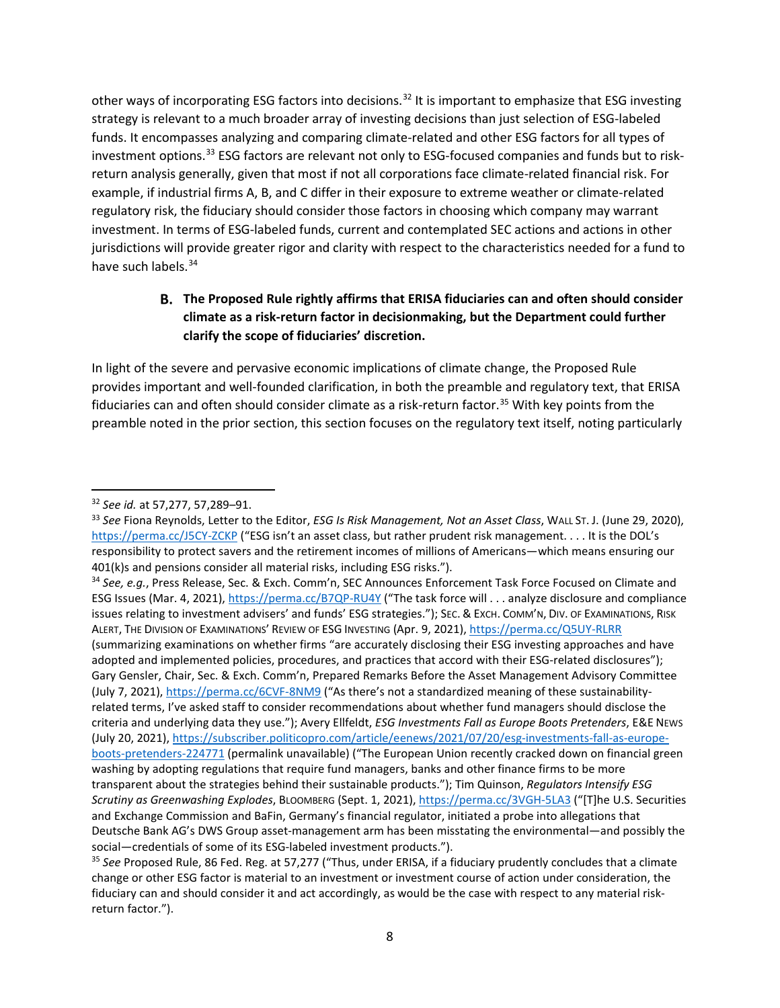other ways of incorporating ESG factors into decisions.<sup>[32](#page-7-1)</sup> It is important to emphasize that ESG investing strategy is relevant to a much broader array of investing decisions than just selection of ESG-labeled funds. It encompasses analyzing and comparing climate-related and other ESG factors for all types of investment options.[33](#page-7-2) ESG factors are relevant not only to ESG-focused companies and funds but to riskreturn analysis generally, given that most if not all corporations face climate-related financial risk. For example, if industrial firms A, B, and C differ in their exposure to extreme weather or climate-related regulatory risk, the fiduciary should consider those factors in choosing which company may warrant investment. In terms of ESG-labeled funds, current and contemplated SEC actions and actions in other jurisdictions will provide greater rigor and clarity with respect to the characteristics needed for a fund to have such labels.<sup>[34](#page-7-3)</sup>

# <span id="page-7-0"></span>**The Proposed Rule rightly affirms that ERISA fiduciaries can and often should consider climate as a risk-return factor in decisionmaking, but the Department could further clarify the scope of fiduciaries' discretion.**

In light of the severe and pervasive economic implications of climate change, the Proposed Rule provides important and well-founded clarification, in both the preamble and regulatory text, that ERISA fiduciaries can and often should consider climate as a risk-return factor.<sup>[35](#page-7-4)</sup> With key points from the preamble noted in the prior section, this section focuses on the regulatory text itself, noting particularly

<span id="page-7-3"></span><sup>34</sup> *See, e.g.*, Press Release, Sec. & Exch. Comm'n, SEC Announces Enforcement Task Force Focused on Climate and ESG Issues (Mar. 4, 2021),<https://perma.cc/B7QP-RU4Y> ("The task force will . . . analyze disclosure and compliance issues relating to investment advisers' and funds' ESG strategies."); SEC. & EXCH. COMM'N, DIV. OF EXAMINATIONS, RISK ALERT, THE DIVISION OF EXAMINATIONS' REVIEW OF ESG INVESTING (Apr. 9, 2021), <https://perma.cc/Q5UY-RLRR> (summarizing examinations on whether firms "are accurately disclosing their ESG investing approaches and have adopted and implemented policies, procedures, and practices that accord with their ESG-related disclosures"); Gary Gensler, Chair, Sec. & Exch. Comm'n, Prepared Remarks Before the Asset Management Advisory Committee (July 7, 2021)[, https://perma.cc/6CVF-8NM9](https://perma.cc/6CVF-8NM9) ("As there's not a standardized meaning of these sustainabilityrelated terms, I've asked staff to consider recommendations about whether fund managers should disclose the criteria and underlying data they use."); Avery Ellfeldt, *ESG Investments Fall as Europe Boots Pretenders*, E&E NEWS (July 20, 2021)[, https://subscriber.politicopro.com/article/eenews/2021/07/20/esg-investments-fall-as-europe](https://subscriber.politicopro.com/article/eenews/2021/07/20/esg-investments-fall-as-europe-boots-pretenders-224771)[boots-pretenders-224771](https://subscriber.politicopro.com/article/eenews/2021/07/20/esg-investments-fall-as-europe-boots-pretenders-224771) (permalink unavailable) ("The European Union recently cracked down on financial green washing by adopting regulations that require fund managers, banks and other finance firms to be more transparent about the strategies behind their sustainable products."); Tim Quinson, *Regulators Intensify ESG Scrutiny as Greenwashing Explodes*, BLOOMBERG (Sept. 1, 2021),<https://perma.cc/3VGH-5LA3> ("[T]he U.S. Securities and Exchange Commission and BaFin, Germany's financial regulator, initiated a probe into allegations that Deutsche Bank AG's DWS Group asset-management arm has been misstating the environmental—and possibly the social—credentials of some of its ESG-labeled investment products.").

<span id="page-7-4"></span><sup>35</sup> *See* Proposed Rule, 86 Fed. Reg. at 57,277 ("Thus, under ERISA, if a fiduciary prudently concludes that a climate change or other ESG factor is material to an investment or investment course of action under consideration, the fiduciary can and should consider it and act accordingly, as would be the case with respect to any material riskreturn factor.").

<span id="page-7-2"></span><span id="page-7-1"></span><sup>&</sup>lt;sup>32</sup> See id. at 57,277, 57,289–91.<br><sup>33</sup> See Fiona Reynolds, Letter to the Editor, *ESG Is Risk Management, Not an Asset Class*, WALL ST. J. (June 29, 2020), <https://perma.cc/J5CY-ZCKP> ("ESG isn't an asset class, but rather prudent risk management. . . . It is the DOL's responsibility to protect savers and the retirement incomes of millions of Americans—which means ensuring our 401(k)s and pensions consider all material risks, including ESG risks.").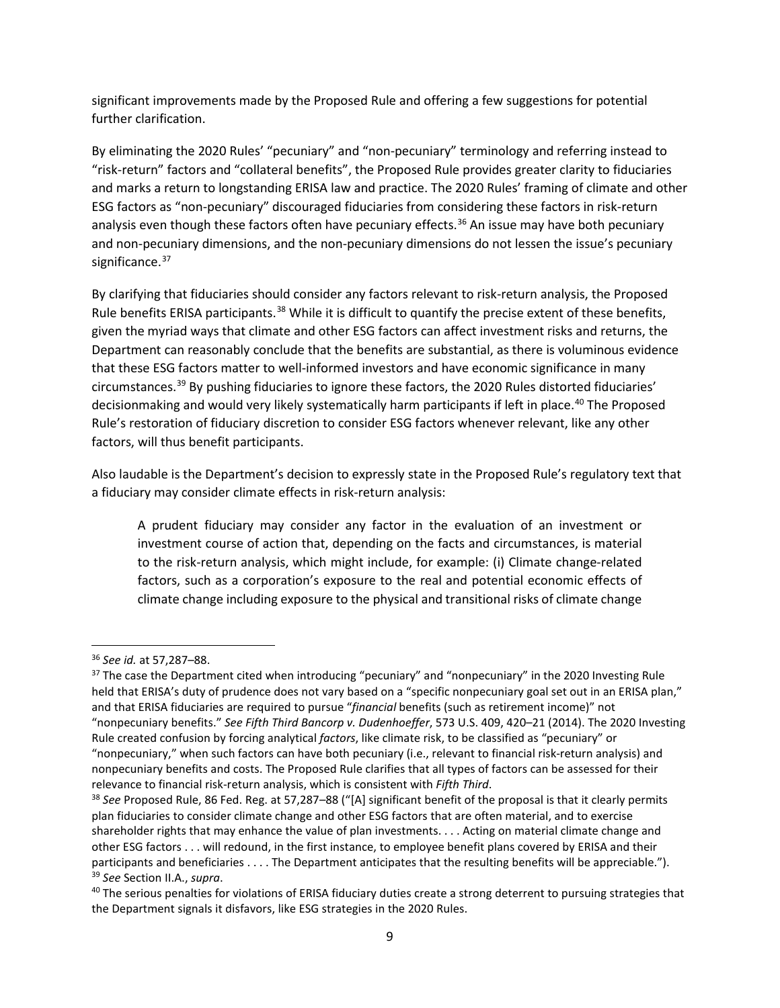significant improvements made by the Proposed Rule and offering a few suggestions for potential further clarification.

By eliminating the 2020 Rules' "pecuniary" and "non-pecuniary" terminology and referring instead to "risk-return" factors and "collateral benefits", the Proposed Rule provides greater clarity to fiduciaries and marks a return to longstanding ERISA law and practice. The 2020 Rules' framing of climate and other ESG factors as "non-pecuniary" discouraged fiduciaries from considering these factors in risk-return analysis even though these factors often have pecuniary effects. [36](#page-8-0) An issue may have both pecuniary and non-pecuniary dimensions, and the non-pecuniary dimensions do not lessen the issue's pecuniary significance.<sup>[37](#page-8-1)</sup>

By clarifying that fiduciaries should consider any factors relevant to risk-return analysis, the Proposed Rule benefits ERISA participants.<sup>[38](#page-8-2)</sup> While it is difficult to quantify the precise extent of these benefits, given the myriad ways that climate and other ESG factors can affect investment risks and returns, the Department can reasonably conclude that the benefits are substantial, as there is voluminous evidence that these ESG factors matter to well-informed investors and have economic significance in many circumstances. [39](#page-8-3) By pushing fiduciaries to ignore these factors, the 2020 Rules distorted fiduciaries' decisionmaking and would very likely systematically harm participants if left in place. [40](#page-8-4) The Proposed Rule's restoration of fiduciary discretion to consider ESG factors whenever relevant, like any other factors, will thus benefit participants.

Also laudable is the Department's decision to expressly state in the Proposed Rule's regulatory text that a fiduciary may consider climate effects in risk-return analysis:

A prudent fiduciary may consider any factor in the evaluation of an investment or investment course of action that, depending on the facts and circumstances, is material to the risk-return analysis, which might include, for example: (i) Climate change-related factors, such as a corporation's exposure to the real and potential economic effects of climate change including exposure to the physical and transitional risks of climate change

<span id="page-8-0"></span><sup>36</sup> *See id.* at 57,287–88.

<span id="page-8-1"></span> $37$  The case the Department cited when introducing "pecuniary" and "nonpecuniary" in the 2020 Investing Rule held that ERISA's duty of prudence does not vary based on a "specific nonpecuniary goal set out in an ERISA plan," and that ERISA fiduciaries are required to pursue "*financial* benefits (such as retirement income)" not "nonpecuniary benefits." *See Fifth Third Bancorp v. Dudenhoeffer*, 573 U.S. 409, 420–21 (2014). The 2020 Investing Rule created confusion by forcing analytical *factors*, like climate risk, to be classified as "pecuniary" or "nonpecuniary," when such factors can have both pecuniary (i.e., relevant to financial risk-return analysis) and nonpecuniary benefits and costs. The Proposed Rule clarifies that all types of factors can be assessed for their relevance to financial risk-return analysis, which is consistent with *Fifth Third*.

<span id="page-8-2"></span><sup>38</sup> *See* Proposed Rule, 86 Fed. Reg. at 57,287–88 ("[A] significant benefit of the proposal is that it clearly permits plan fiduciaries to consider climate change and other ESG factors that are often material, and to exercise shareholder rights that may enhance the value of plan investments. . . . Acting on material climate change and other ESG factors . . . will redound, in the first instance, to employee benefit plans covered by ERISA and their participants and beneficiaries . . . . The Department anticipates that the resulting benefits will be appreciable."). <sup>39</sup> *See* Section II.A., *supra*.

<span id="page-8-4"></span><span id="page-8-3"></span><sup>&</sup>lt;sup>40</sup> The serious penalties for violations of ERISA fiduciary duties create a strong deterrent to pursuing strategies that the Department signals it disfavors, like ESG strategies in the 2020 Rules.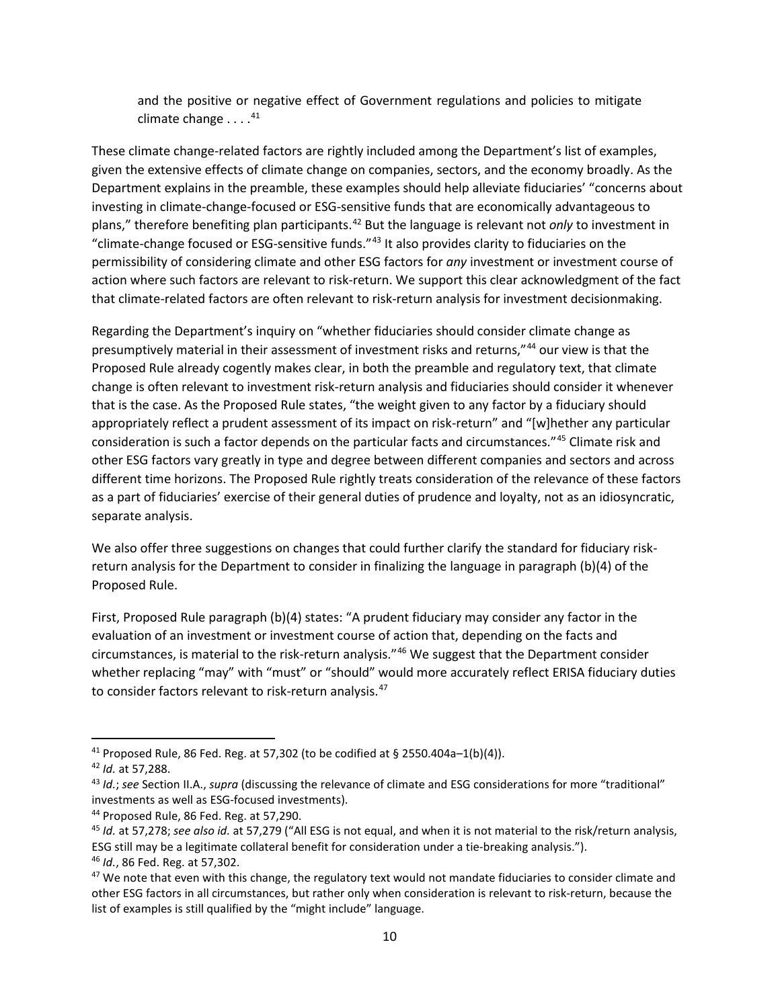and the positive or negative effect of Government regulations and policies to mitigate climate change . . . . [41](#page-9-0)

These climate change-related factors are rightly included among the Department's list of examples, given the extensive effects of climate change on companies, sectors, and the economy broadly. As the Department explains in the preamble, these examples should help alleviate fiduciaries' "concerns about investing in climate-change-focused or ESG-sensitive funds that are economically advantageous to plans," therefore benefiting plan participants. [42](#page-9-1) But the language is relevant not *only* to investment in "climate-change focused or ESG-sensitive funds."[43](#page-9-2) It also provides clarity to fiduciaries on the permissibility of considering climate and other ESG factors for *any* investment or investment course of action where such factors are relevant to risk-return. We support this clear acknowledgment of the fact that climate-related factors are often relevant to risk-return analysis for investment decisionmaking.

Regarding the Department's inquiry on "whether fiduciaries should consider climate change as presumptively material in their assessment of investment risks and returns,"[44](#page-9-3) our view is that the Proposed Rule already cogently makes clear, in both the preamble and regulatory text, that climate change is often relevant to investment risk-return analysis and fiduciaries should consider it whenever that is the case. As the Proposed Rule states, "the weight given to any factor by a fiduciary should appropriately reflect a prudent assessment of its impact on risk-return" and "[w]hether any particular consideration is such a factor depends on the particular facts and circumstances."[45](#page-9-4) Climate risk and other ESG factors vary greatly in type and degree between different companies and sectors and across different time horizons. The Proposed Rule rightly treats consideration of the relevance of these factors as a part of fiduciaries' exercise of their general duties of prudence and loyalty, not as an idiosyncratic, separate analysis.

We also offer three suggestions on changes that could further clarify the standard for fiduciary riskreturn analysis for the Department to consider in finalizing the language in paragraph (b)(4) of the Proposed Rule.

First, Proposed Rule paragraph (b)(4) states: "A prudent fiduciary may consider any factor in the evaluation of an investment or investment course of action that, depending on the facts and circumstances, is material to the risk-return analysis."[46](#page-9-5) We suggest that the Department consider whether replacing "may" with "must" or "should" would more accurately reflect ERISA fiduciary duties to consider factors relevant to risk-return analysis.<sup>[47](#page-9-6)</sup>

<span id="page-9-0"></span><sup>&</sup>lt;sup>41</sup> Proposed Rule, 86 Fed. Reg. at 57,302 (to be codified at § 2550.404a-1(b)(4)).

<span id="page-9-1"></span><sup>42</sup> *Id.* at 57,288.

<span id="page-9-2"></span><sup>43</sup> *Id.*; *see* Section II.A., *supra* (discussing the relevance of climate and ESG considerations for more "traditional" investments as well as ESG-focused investments).

<span id="page-9-3"></span><sup>44</sup> Proposed Rule, 86 Fed. Reg. at 57,290.

<span id="page-9-4"></span><sup>45</sup> *Id.* at 57,278; *see also id.* at 57,279 ("All ESG is not equal, and when it is not material to the risk/return analysis, ESG still may be a legitimate collateral benefit for consideration under a tie-breaking analysis.").

<span id="page-9-5"></span><sup>46</sup> *Id.*, 86 Fed. Reg. at 57,302.

<span id="page-9-6"></span> $47$  We note that even with this change, the regulatory text would not mandate fiduciaries to consider climate and other ESG factors in all circumstances, but rather only when consideration is relevant to risk-return, because the list of examples is still qualified by the "might include" language.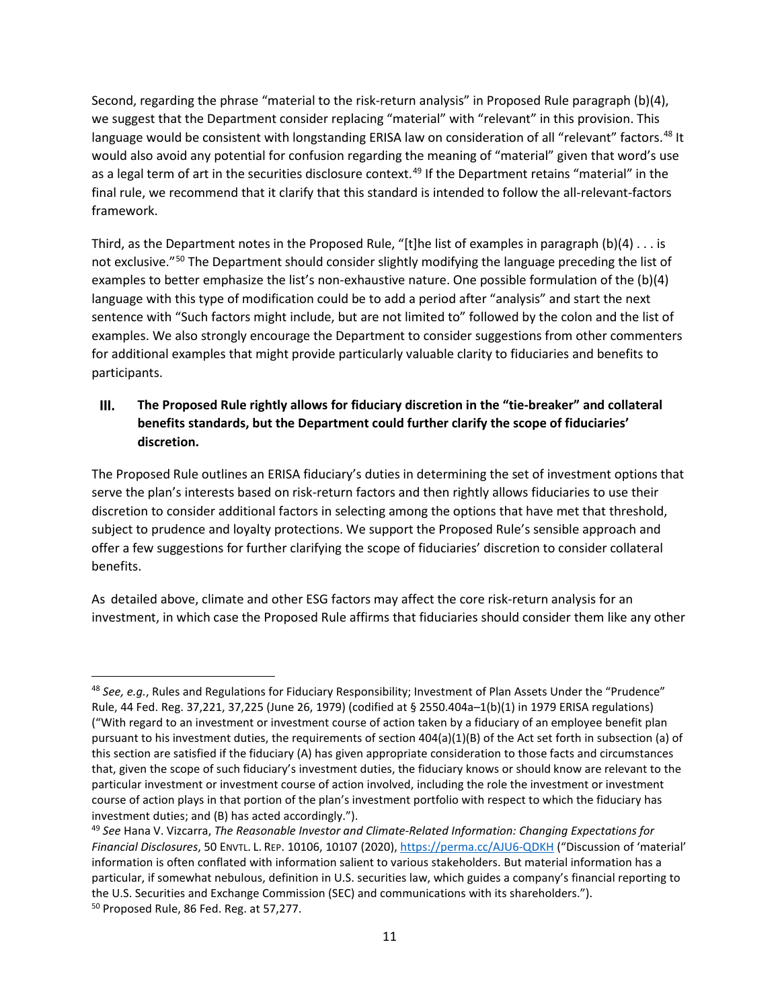Second, regarding the phrase "material to the risk-return analysis" in Proposed Rule paragraph (b)(4), we suggest that the Department consider replacing "material" with "relevant" in this provision. This language would be consistent with longstanding ERISA law on consideration of all "relevant" factors.<sup>[48](#page-10-1)</sup> It would also avoid any potential for confusion regarding the meaning of "material" given that word's use as a legal term of art in the securities disclosure context.<sup>[49](#page-10-2)</sup> If the Department retains "material" in the final rule, we recommend that it clarify that this standard is intended to follow the all-relevant-factors framework.

Third, as the Department notes in the Proposed Rule, "[t]he list of examples in paragraph  $(b)(4) \ldots$  is not exclusive."<sup>[50](#page-10-3)</sup> The Department should consider slightly modifying the language preceding the list of examples to better emphasize the list's non-exhaustive nature. One possible formulation of the (b)(4) language with this type of modification could be to add a period after "analysis" and start the next sentence with "Such factors might include, but are not limited to" followed by the colon and the list of examples. We also strongly encourage the Department to consider suggestions from other commenters for additional examples that might provide particularly valuable clarity to fiduciaries and benefits to participants.

### <span id="page-10-0"></span> $III.$ **The Proposed Rule rightly allows for fiduciary discretion in the "tie-breaker" and collateral benefits standards, but the Department could further clarify the scope of fiduciaries' discretion.**

The Proposed Rule outlines an ERISA fiduciary's duties in determining the set of investment options that serve the plan's interests based on risk-return factors and then rightly allows fiduciaries to use their discretion to consider additional factors in selecting among the options that have met that threshold, subject to prudence and loyalty protections. We support the Proposed Rule's sensible approach and offer a few suggestions for further clarifying the scope of fiduciaries' discretion to consider collateral benefits.

As detailed above, climate and other ESG factors may affect the core risk-return analysis for an investment, in which case the Proposed Rule affirms that fiduciaries should consider them like any other

<span id="page-10-1"></span><sup>48</sup> *See, e.g.*, Rules and Regulations for Fiduciary Responsibility; Investment of Plan Assets Under the "Prudence" Rule, 44 Fed. Reg. 37,221, 37,225 (June 26, 1979) (codified at § 2550.404a–1(b)(1) in 1979 ERISA regulations) ("With regard to an investment or investment course of action taken by a fiduciary of an employee benefit plan pursuant to his investment duties, the requirements of section 404(a)(1)(B) of the Act set forth in subsection (a) of this section are satisfied if the fiduciary (A) has given appropriate consideration to those facts and circumstances that, given the scope of such fiduciary's investment duties, the fiduciary knows or should know are relevant to the particular investment or investment course of action involved, including the role the investment or investment course of action plays in that portion of the plan's investment portfolio with respect to which the fiduciary has investment duties; and (B) has acted accordingly.").

<span id="page-10-3"></span><span id="page-10-2"></span><sup>49</sup> *See* Hana V. Vizcarra, *The Reasonable Investor and Climate-Related Information: Changing Expectations for Financial Disclosures*, 50 ENVTL. L. REP. 10106, 10107 (2020)[, https://perma.cc/AJU6-QDKH](https://perma.cc/AJU6-QDKH) ("Discussion of 'material' information is often conflated with information salient to various stakeholders. But material information has a particular, if somewhat nebulous, definition in U.S. securities law, which guides a company's financial reporting to the U.S. Securities and Exchange Commission (SEC) and communications with its shareholders."). <sup>50</sup> Proposed Rule, 86 Fed. Reg. at 57,277.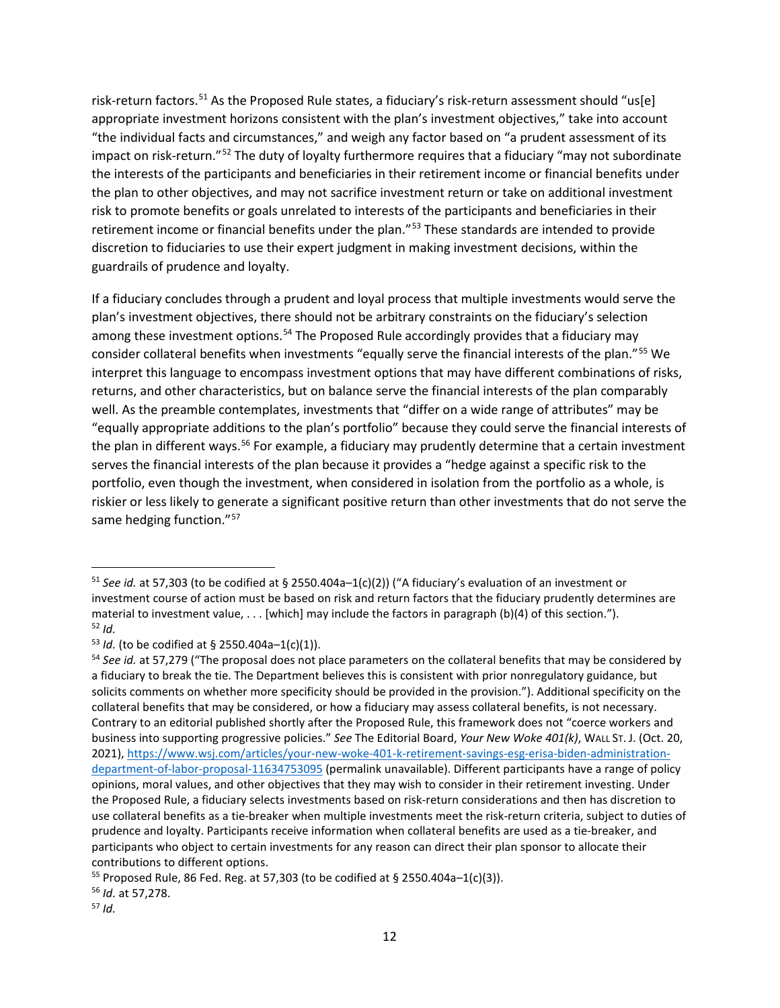risk-return factors.<sup>[51](#page-11-0)</sup> As the Proposed Rule states, a fiduciary's risk-return assessment should "us[e] appropriate investment horizons consistent with the plan's investment objectives," take into account "the individual facts and circumstances," and weigh any factor based on "a prudent assessment of its impact on risk-return."[52](#page-11-1) The duty of loyalty furthermore requires that a fiduciary "may not subordinate the interests of the participants and beneficiaries in their retirement income or financial benefits under the plan to other objectives, and may not sacrifice investment return or take on additional investment risk to promote benefits or goals unrelated to interests of the participants and beneficiaries in their retirement income or financial benefits under the plan."<sup>[53](#page-11-2)</sup> These standards are intended to provide discretion to fiduciaries to use their expert judgment in making investment decisions, within the guardrails of prudence and loyalty.

If a fiduciary concludes through a prudent and loyal process that multiple investments would serve the plan's investment objectives, there should not be arbitrary constraints on the fiduciary's selection among these investment options.<sup>54</sup> The Proposed Rule accordingly provides that a fiduciary may consider collateral benefits when investments "equally serve the financial interests of the plan."[55](#page-11-4) We interpret this language to encompass investment options that may have different combinations of risks, returns, and other characteristics, but on balance serve the financial interests of the plan comparably well. As the preamble contemplates, investments that "differ on a wide range of attributes" may be "equally appropriate additions to the plan's portfolio" because they could serve the financial interests of the plan in different ways.<sup>56</sup> For example, a fiduciary may prudently determine that a certain investment serves the financial interests of the plan because it provides a "hedge against a specific risk to the portfolio, even though the investment, when considered in isolation from the portfolio as a whole, is riskier or less likely to generate a significant positive return than other investments that do not serve the same hedging function."<sup>[57](#page-11-6)</sup>

<span id="page-11-0"></span><sup>51</sup> *See id.* at 57,303 (to be codified at § 2550.404a–1(c)(2)) ("A fiduciary's evaluation of an investment or investment course of action must be based on risk and return factors that the fiduciary prudently determines are material to investment value, . . . [which] may include the factors in paragraph (b)(4) of this section."). <sup>52</sup> *Id.*

<span id="page-11-2"></span><span id="page-11-1"></span> $53$  *Id.* (to be codified at § 2550.404a-1(c)(1)).

<span id="page-11-3"></span><sup>54</sup> *See id.* at 57,279 ("The proposal does not place parameters on the collateral benefits that may be considered by a fiduciary to break the tie. The Department believes this is consistent with prior nonregulatory guidance, but solicits comments on whether more specificity should be provided in the provision."). Additional specificity on the collateral benefits that may be considered, or how a fiduciary may assess collateral benefits, is not necessary. Contrary to an editorial published shortly after the Proposed Rule, this framework does not "coerce workers and business into supporting progressive policies." *See* The Editorial Board, *Your New Woke 401(k)*, WALL ST. J. (Oct. 20, 2021), [https://www.wsj.com/articles/your-new-woke-401-k-retirement-savings-esg-erisa-biden-administration](https://www.wsj.com/articles/your-new-woke-401-k-retirement-savings-esg-erisa-biden-administration-department-of-labor-proposal-11634753095)[department-of-labor-proposal-11634753095](https://www.wsj.com/articles/your-new-woke-401-k-retirement-savings-esg-erisa-biden-administration-department-of-labor-proposal-11634753095) (permalink unavailable). Different participants have a range of policy opinions, moral values, and other objectives that they may wish to consider in their retirement investing. Under the Proposed Rule, a fiduciary selects investments based on risk-return considerations and then has discretion to use collateral benefits as a tie-breaker when multiple investments meet the risk-return criteria, subject to duties of prudence and loyalty. Participants receive information when collateral benefits are used as a tie-breaker, and participants who object to certain investments for any reason can direct their plan sponsor to allocate their contributions to different options.

<span id="page-11-5"></span><span id="page-11-4"></span><sup>55</sup> Proposed Rule, 86 Fed. Reg. at 57,303 (to be codified at § 2550.404a–1(c)(3)). 56 *Id.* at 57,278.

<span id="page-11-6"></span><sup>57</sup> *Id.*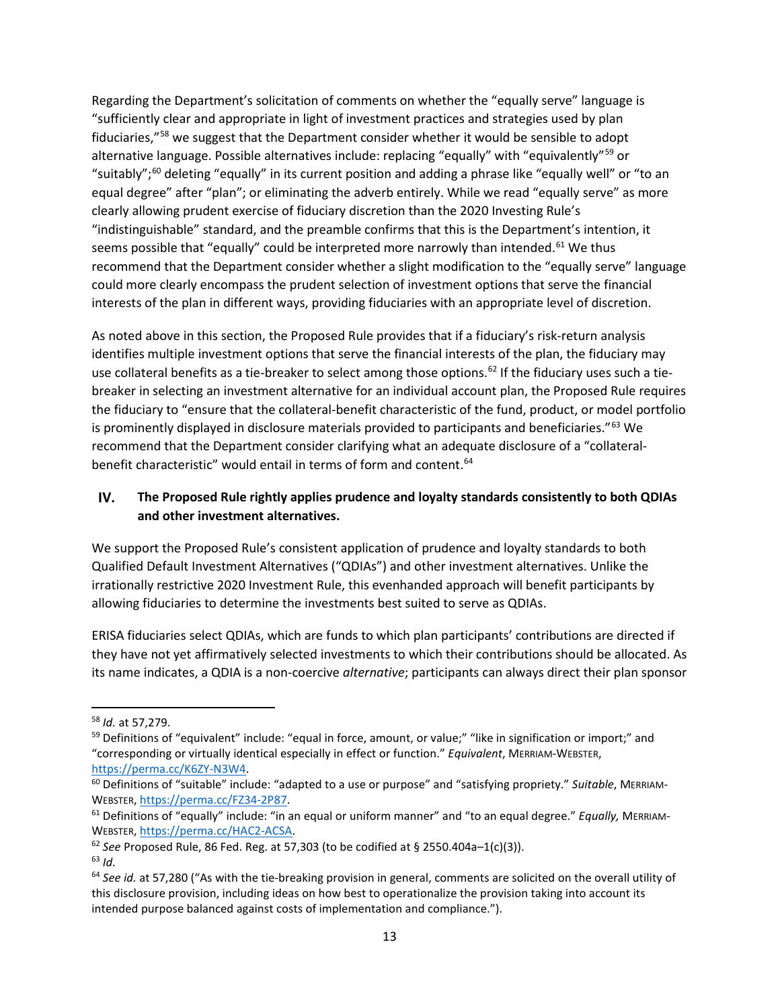Regarding the Department's solicitation of comments on whether the "equally serve" language is "sufficiently clear and appropriate in light of investment practices and strategies used by plan fiduciaries,"<sup>[58](#page-12-1)</sup> we suggest that the Department consider whether it would be sensible to adopt alternative language. Possible alternatives include: replacing "equally" with "equivalently"<sup>[59](#page-12-2)</sup> or "suitably"; [60](#page-12-3) deleting "equally" in its current position and adding a phrase like "equally well" or "to an equal degree" after "plan"; or eliminating the adverb entirely. While we read "equally serve" as more clearly allowing prudent exercise of fiduciary discretion than the 2020 Investing Rule's "indistinguishable" standard, and the preamble confirms that this is the Department's intention, it seems possible that "equally" could be interpreted more narrowly than intended.<sup>[61](#page-12-4)</sup> We thus recommend that the Department consider whether a slight modification to the "equally serve" language could more clearly encompass the prudent selection of investment options that serve the financial interests of the plan in different ways, providing fiduciaries with an appropriate level of discretion.

As noted above in this section, the Proposed Rule provides that if a fiduciary's risk-return analysis identifies multiple investment options that serve the financial interests of the plan, the fiduciary may use collateral benefits as a tie-breaker to select among those options.<sup>[62](#page-12-5)</sup> If the fiduciary uses such a tiebreaker in selecting an investment alternative for an individual account plan, the Proposed Rule requires the fiduciary to "ensure that the collateral-benefit characteristic of the fund, product, or model portfolio is prominently displayed in disclosure materials provided to participants and beneficiaries."[63](#page-12-6) We recommend that the Department consider clarifying what an adequate disclosure of a "collateral-benefit characteristic" would entail in terms of form and content.<sup>[64](#page-12-7)</sup>

#### <span id="page-12-0"></span>IV. **The Proposed Rule rightly applies prudence and loyalty standards consistently to both QDIAs and other investment alternatives.**

We support the Proposed Rule's consistent application of prudence and loyalty standards to both Qualified Default Investment Alternatives ("QDIAs") and other investment alternatives. Unlike the irrationally restrictive 2020 Investment Rule, this evenhanded approach will benefit participants by allowing fiduciaries to determine the investments best suited to serve as QDIAs.

ERISA fiduciaries select QDIAs, which are funds to which plan participants' contributions are directed if they have not yet affirmatively selected investments to which their contributions should be allocated. As its name indicates, a QDIA is a non-coercive *alternative*; participants can always direct their plan sponsor

<span id="page-12-1"></span><sup>58</sup> *Id.* at 57,279.

<span id="page-12-2"></span><sup>&</sup>lt;sup>59</sup> Definitions of "equivalent" include: "equal in force, amount, or value;" "like in signification or import;" and "corresponding or virtually identical especially in effect or function." *Equivalent*, MERRIAM-WEBSTER, [https://perma.cc/K6ZY-N3W4.](https://perma.cc/K6ZY-N3W4)

<span id="page-12-3"></span><sup>60</sup> Definitions of "suitable" include: "adapted to a use or purpose" and "satisfying propriety." *Suitable*, MERRIAM-WEBSTER[, https://perma.cc/FZ34-2P87.](https://perma.cc/FZ34-2P87)

<span id="page-12-4"></span><sup>61</sup> Definitions of "equally" include: "in an equal or uniform manner" and "to an equal degree." *Equally,* MERRIAM-WEBSTER[, https://perma.cc/HAC2-ACSA.](https://perma.cc/HAC2-ACSA)

<span id="page-12-5"></span><sup>62</sup> *See* Proposed Rule, 86 Fed. Reg. at 57,303 (to be codified at § 2550.404a–1(c)(3)).

<span id="page-12-6"></span><sup>63</sup> *Id.*

<span id="page-12-7"></span><sup>64</sup> *See id.* at 57,280 ("As with the tie-breaking provision in general, comments are solicited on the overall utility of this disclosure provision, including ideas on how best to operationalize the provision taking into account its intended purpose balanced against costs of implementation and compliance.").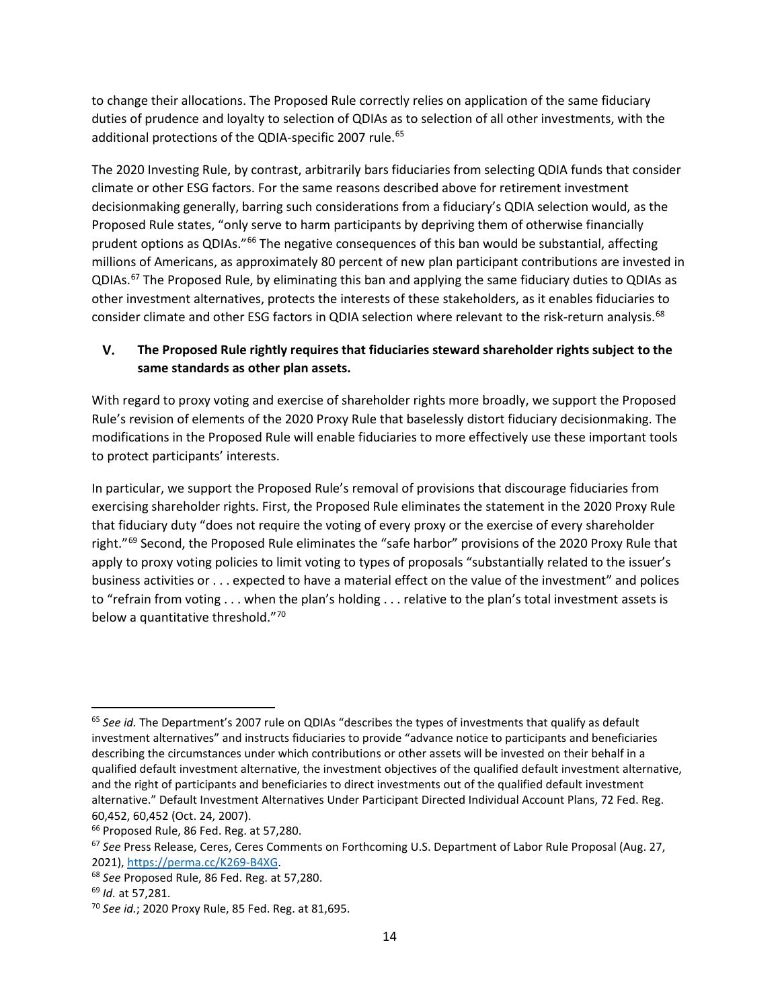to change their allocations. The Proposed Rule correctly relies on application of the same fiduciary duties of prudence and loyalty to selection of QDIAs as to selection of all other investments, with the additional protections of the QDIA-specific 2007 rule.<sup>[65](#page-13-1)</sup>

The 2020 Investing Rule, by contrast, arbitrarily bars fiduciaries from selecting QDIA funds that consider climate or other ESG factors. For the same reasons described above for retirement investment decisionmaking generally, barring such considerations from a fiduciary's QDIA selection would, as the Proposed Rule states, "only serve to harm participants by depriving them of otherwise financially prudent options as QDIAs."[66](#page-13-2) The negative consequences of this ban would be substantial, affecting millions of Americans, as approximately 80 percent of new plan participant contributions are invested in QDIAs.<sup>[67](#page-13-3)</sup> The Proposed Rule, by eliminating this ban and applying the same fiduciary duties to QDIAs as other investment alternatives, protects the interests of these stakeholders, as it enables fiduciaries to consider climate and other ESG factors in QDIA selection where relevant to the risk-return analysis.<sup>[68](#page-13-4)</sup>

#### <span id="page-13-0"></span>V. **The Proposed Rule rightly requires that fiduciaries steward shareholder rights subject to the same standards as other plan assets.**

With regard to proxy voting and exercise of shareholder rights more broadly, we support the Proposed Rule's revision of elements of the 2020 Proxy Rule that baselessly distort fiduciary decisionmaking. The modifications in the Proposed Rule will enable fiduciaries to more effectively use these important tools to protect participants' interests.

In particular, we support the Proposed Rule's removal of provisions that discourage fiduciaries from exercising shareholder rights. First, the Proposed Rule eliminates the statement in the 2020 Proxy Rule that fiduciary duty "does not require the voting of every proxy or the exercise of every shareholder right."<sup>[69](#page-13-5)</sup> Second, the Proposed Rule eliminates the "safe harbor" provisions of the 2020 Proxy Rule that apply to proxy voting policies to limit voting to types of proposals "substantially related to the issuer's business activities or . . . expected to have a material effect on the value of the investment" and polices to "refrain from voting . . . when the plan's holding . . . relative to the plan's total investment assets is below a quantitative threshold.["70](#page-13-6)

<span id="page-13-1"></span><sup>65</sup> *See id.* The Department's 2007 rule on QDIAs "describes the types of investments that qualify as default investment alternatives" and instructs fiduciaries to provide "advance notice to participants and beneficiaries describing the circumstances under which contributions or other assets will be invested on their behalf in a qualified default investment alternative, the investment objectives of the qualified default investment alternative, and the right of participants and beneficiaries to direct investments out of the qualified default investment alternative." Default Investment Alternatives Under Participant Directed Individual Account Plans, 72 Fed. Reg. 60,452, 60,452 (Oct. 24, 2007).

<span id="page-13-3"></span><span id="page-13-2"></span><sup>&</sup>lt;sup>66</sup> Proposed Rule, 86 Fed. Reg. at 57,280.<br><sup>67</sup> See Press Release, Ceres, Ceres Comments on Forthcoming U.S. Department of Labor Rule Proposal (Aug. 27,

<span id="page-13-4"></span><sup>2021),</sup> [https://perma.cc/K269-B4XG.](https://perma.cc/K269-B4XG) 68 *See* Proposed Rule, 86 Fed. Reg. at 57,280. 69 *Id.* at 57,281.

<span id="page-13-5"></span>

<span id="page-13-6"></span><sup>70</sup> *See id.*; 2020 Proxy Rule, 85 Fed. Reg. at 81,695.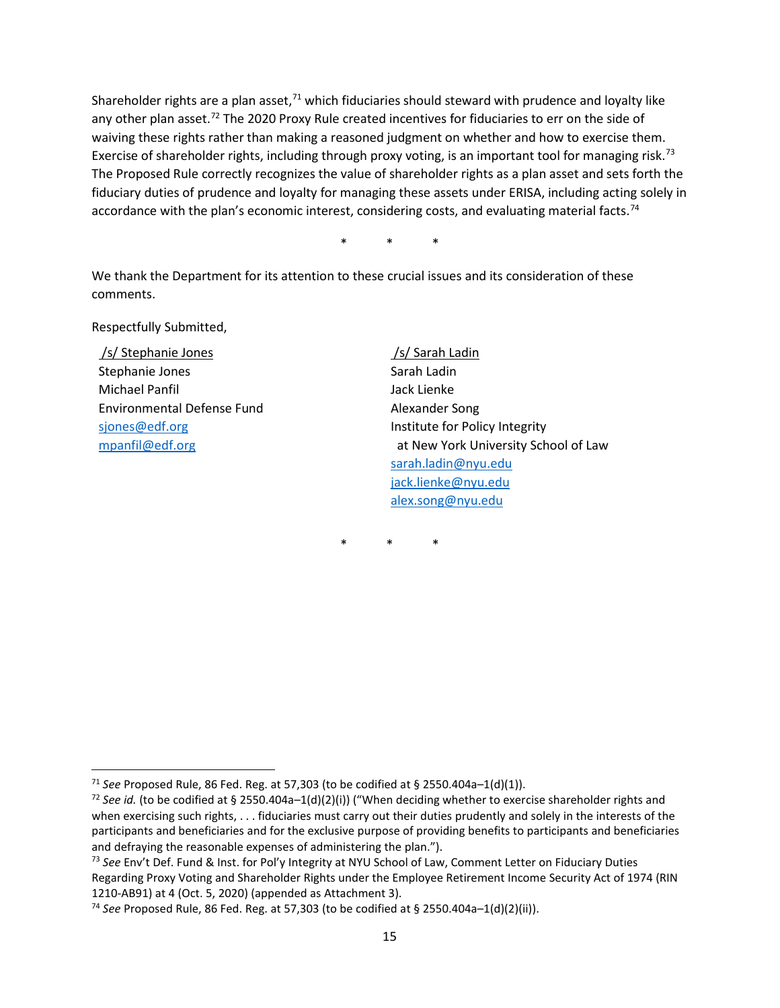Shareholder rights are a plan asset,<sup>[71](#page-14-0)</sup> which fiduciaries should steward with prudence and loyalty like any other plan asset.<sup>[72](#page-14-1)</sup> The 2020 Proxy Rule created incentives for fiduciaries to err on the side of waiving these rights rather than making a reasoned judgment on whether and how to exercise them. Exercise of shareholder rights, including through proxy voting, is an important tool for managing risk.<sup>[73](#page-14-2)</sup> The Proposed Rule correctly recognizes the value of shareholder rights as a plan asset and sets forth the fiduciary duties of prudence and loyalty for managing these assets under ERISA, including acting solely in accordance with the plan's economic interest, considering costs, and evaluating material facts.<sup>[74](#page-14-3)</sup>

\* \* \*

We thank the Department for its attention to these crucial issues and its consideration of these comments.

Respectfully Submitted,

/s/ Stephanie Jones Stephanie Jones Michael Panfil Environmental Defense Fund [sjones@edf.org](mailto:sjones@edf.org) [mpanfil@edf.org](mailto:mpanfil@edf.org)

/s/ Sarah Ladin Sarah Ladin Jack Lienke Alexander Song Institute for Policy Integrity at New York University School of Law [sarah.ladin@nyu.edu](mailto:sarah.ladin@nyu.edu) [jack.lienke@nyu.edu](mailto:jack.lienke@nyu.edu) [alex.song@nyu.edu](mailto:alex.song@nyu.edu)

\* \* \*

<span id="page-14-0"></span><sup>71</sup> *See* Proposed Rule, 86 Fed. Reg. at 57,303 (to be codified at § 2550.404a–1(d)(1)).

<span id="page-14-1"></span><sup>&</sup>lt;sup>72</sup> See id. (to be codified at § 2550.404a-1(d)(2)(i)) ("When deciding whether to exercise shareholder rights and when exercising such rights, . . . fiduciaries must carry out their duties prudently and solely in the interests of the participants and beneficiaries and for the exclusive purpose of providing benefits to participants and beneficiaries and defraying the reasonable expenses of administering the plan.").

<span id="page-14-2"></span><sup>73</sup> *See* Env't Def. Fund & Inst. for Pol'y Integrity at NYU School of Law, Comment Letter on Fiduciary Duties Regarding Proxy Voting and Shareholder Rights under the Employee Retirement Income Security Act of 1974 (RIN 1210-AB91) at 4 (Oct. 5, 2020) (appended as Attachment 3).

<span id="page-14-3"></span><sup>74</sup> *See* Proposed Rule, 86 Fed. Reg. at 57,303 (to be codified at § 2550.404a–1(d)(2)(ii)).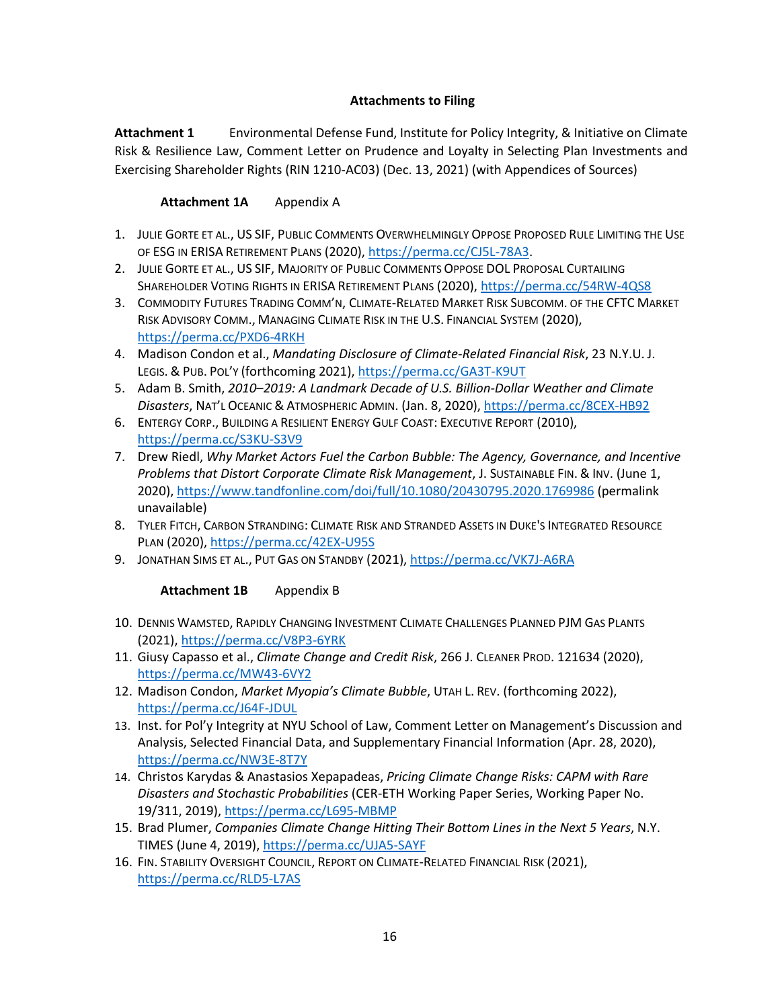## **Attachments to Filing**

**Attachment 1** Environmental Defense Fund, Institute for Policy Integrity, & Initiative on Climate Risk & Resilience Law, Comment Letter on Prudence and Loyalty in Selecting Plan Investments and Exercising Shareholder Rights (RIN 1210-AC03) (Dec. 13, 2021) (with Appendices of Sources)

### **Attachment 1A** Appendix A

- 1. JULIE GORTE ET AL., US SIF, PUBLIC COMMENTS OVERWHELMINGLY OPPOSE PROPOSED RULE LIMITING THE USE OF ESG IN ERISA RETIREMENT PLANS (2020), [https://perma.cc/CJ5L-78A3.](https://perma.cc/CJ5L-78A3)
- 2. JULIE GORTE ET AL., US SIF, MAJORITY OF PUBLIC COMMENTS OPPOSE DOL PROPOSAL CURTAILING SHAREHOLDER VOTING RIGHTS IN ERISA RETIREMENT PLANS (2020),<https://perma.cc/54RW-4QS8>
- 3. COMMODITY FUTURES TRADING COMM'N, CLIMATE-RELATED MARKET RISK SUBCOMM. OF THE CFTC MARKET RISK ADVISORY COMM., MANAGING CLIMATE RISK IN THE U.S. FINANCIAL SYSTEM (2020), <https://perma.cc/PXD6-4RKH>
- 4. Madison Condon et al., *Mandating Disclosure of Climate-Related Financial Risk*, 23 N.Y.U. J. LEGIS. & PUB. POL'Y (forthcoming 2021), <https://perma.cc/GA3T-K9UT>
- 5. Adam B. Smith, *2010*–*2019: A Landmark Decade of U.S. Billion-Dollar Weather and Climate Disasters*, NAT'L OCEANIC & ATMOSPHERIC ADMIN. (Jan. 8, 2020),<https://perma.cc/8CEX-HB92>
- 6. ENTERGY CORP., BUILDING A RESILIENT ENERGY GULF COAST: EXECUTIVE REPORT (2010), <https://perma.cc/S3KU-S3V9>
- 7. Drew Riedl, *Why Market Actors Fuel the Carbon Bubble: The Agency, Governance, and Incentive Problems that Distort Corporate Climate Risk Management*, J. SUSTAINABLE FIN. & INV. (June 1, 2020),<https://www.tandfonline.com/doi/full/10.1080/20430795.2020.1769986> (permalink unavailable)
- 8. TYLER FITCH, CARBON STRANDING: CLIMATE RISK AND STRANDED ASSETS IN DUKE'S INTEGRATED RESOURCE PLAN (2020),<https://perma.cc/42EX-U95S>
- 9. JONATHAN SIMS ET AL., PUT GAS ON STANDBY (2021),<https://perma.cc/VK7J-A6RA>

### **Attachment 1B** Appendix B

- 10. DENNIS WAMSTED, RAPIDLY CHANGING INVESTMENT CLIMATE CHALLENGES PLANNED PJM GAS PLANTS (2021),<https://perma.cc/V8P3-6YRK>
- 11. Giusy Capasso et al., *Climate Change and Credit Risk*, 266 J. CLEANER PROD. 121634 (2020), <https://perma.cc/MW43-6VY2>
- 12. Madison Condon, *Market Myopia's Climate Bubble*, UTAH L. REV. (forthcoming 2022), <https://perma.cc/J64F-JDUL>
- 13. Inst. for Pol'y Integrity at NYU School of Law, Comment Letter on Management's Discussion and Analysis, Selected Financial Data, and Supplementary Financial Information (Apr. 28, 2020), <https://perma.cc/NW3E-8T7Y>
- 14. Christos Karydas & Anastasios Xepapadeas, *Pricing Climate Change Risks: CAPM with Rare Disasters and Stochastic Probabilities* (CER-ETH Working Paper Series, Working Paper No. 19/311, 2019),<https://perma.cc/L695-MBMP>
- 15. Brad Plumer, *Companies Climate Change Hitting Their Bottom Lines in the Next 5 Years*, N.Y. TIMES (June 4, 2019)[, https://perma.cc/UJA5-SAYF](https://perma.cc/UJA5-SAYF)
- 16. FIN. STABILITY OVERSIGHT COUNCIL, REPORT ON CLIMATE-RELATED FINANCIAL RISK (2021), <https://perma.cc/RLD5-L7AS>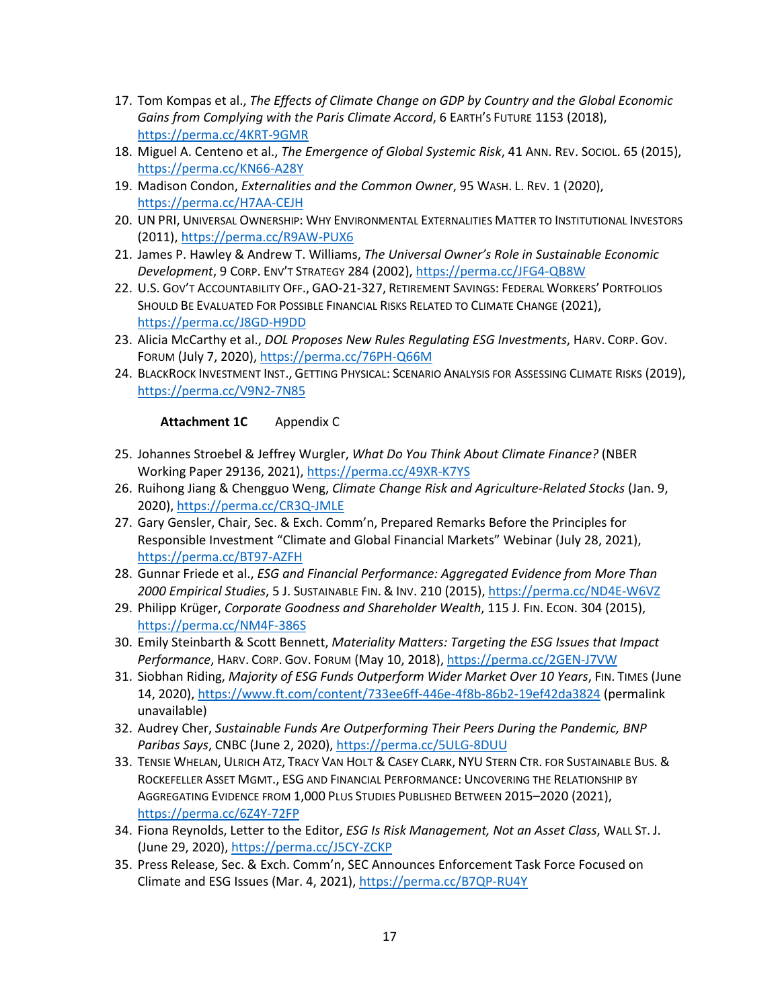- 17. Tom Kompas et al., *The Effects of Climate Change on GDP by Country and the Global Economic Gains from Complying with the Paris Climate Accord*, 6 EARTH'S FUTURE 1153 (2018), <https://perma.cc/4KRT-9GMR>
- 18. Miguel A. Centeno et al., *The Emergence of Global Systemic Risk*, 41 ANN. REV. SOCIOL. 65 (2015), <https://perma.cc/KN66-A28Y>
- 19. Madison Condon, *Externalities and the Common Owner*, 95 WASH. L. REV. 1 (2020), <https://perma.cc/H7AA-CEJH>
- 20. UN PRI, UNIVERSAL OWNERSHIP: WHY ENVIRONMENTAL EXTERNALITIES MATTER TO INSTITUTIONAL INVESTORS (2011),<https://perma.cc/R9AW-PUX6>
- 21. James P. Hawley & Andrew T. Williams, *The Universal Owner's Role in Sustainable Economic Development*, 9 CORP. ENV'T STRATEGY 284 (2002)[, https://perma.cc/JFG4-QB8W](https://perma.cc/JFG4-QB8W)
- 22. U.S. GOV'T ACCOUNTABILITY OFF., GAO-21-327, RETIREMENT SAVINGS: FEDERAL WORKERS' PORTFOLIOS SHOULD BE EVALUATED FOR POSSIBLE FINANCIAL RISKS RELATED TO CLIMATE CHANGE (2021), <https://perma.cc/J8GD-H9DD>
- 23. Alicia McCarthy et al., *DOL Proposes New Rules Regulating ESG Investments*, HARV. CORP. GOV. FORUM (July 7, 2020),<https://perma.cc/76PH-Q66M>
- 24. BLACKROCK INVESTMENT INST., GETTING PHYSICAL: SCENARIO ANALYSIS FOR ASSESSING CLIMATE RISKS (2019), <https://perma.cc/V9N2-7N85>

## Attachment 1C Appendix C

- 25. Johannes Stroebel & Jeffrey Wurgler, *What Do You Think About Climate Finance?* (NBER Working Paper 29136, 2021),<https://perma.cc/49XR-K7YS>
- 26. Ruihong Jiang & Chengguo Weng, *Climate Change Risk and Agriculture-Related Stocks* (Jan. 9, 2020),<https://perma.cc/CR3Q-JMLE>
- 27. Gary Gensler, Chair, Sec. & Exch. Comm'n, Prepared Remarks Before the Principles for Responsible Investment "Climate and Global Financial Markets" Webinar (July 28, 2021), <https://perma.cc/BT97-AZFH>
- 28. Gunnar Friede et al., *ESG and Financial Performance: Aggregated Evidence from More Than 2000 Empirical Studies*, 5 J. SUSTAINABLE FIN. & INV. 210 (2015)[, https://perma.cc/ND4E-W6VZ](https://perma.cc/ND4E-W6VZ)
- 29. Philipp Krüger, *Corporate Goodness and Shareholder Wealth*, 115 J. FIN. ECON. 304 (2015), <https://perma.cc/NM4F-386S>
- 30. Emily Steinbarth & Scott Bennett, *Materiality Matters: Targeting the ESG Issues that Impact Performance*, HARV. CORP. GOV. FORUM (May 10, 2018),<https://perma.cc/2GEN-J7VW>
- 31. Siobhan Riding, *Majority of ESG Funds Outperform Wider Market Over 10 Years*, FIN. TIMES (June 14, 2020),<https://www.ft.com/content/733ee6ff-446e-4f8b-86b2-19ef42da3824> (permalink unavailable)
- 32. Audrey Cher, *Sustainable Funds Are Outperforming Their Peers During the Pandemic, BNP Paribas Says*, CNBC (June 2, 2020),<https://perma.cc/5ULG-8DUU>
- 33. TENSIE WHELAN, ULRICH ATZ, TRACY VAN HOLT & CASEY CLARK, NYU STERN CTR. FOR SUSTAINABLE BUS. & ROCKEFELLER ASSET MGMT., ESG AND FINANCIAL PERFORMANCE: UNCOVERING THE RELATIONSHIP BY AGGREGATING EVIDENCE FROM 1,000 PLUS STUDIES PUBLISHED BETWEEN 2015–2020 (2021), <https://perma.cc/6Z4Y-72FP>
- 34. Fiona Reynolds, Letter to the Editor, *ESG Is Risk Management, Not an Asset Class*, WALL ST. J. (June 29, 2020)[, https://perma.cc/J5CY-ZCKP](https://perma.cc/J5CY-ZCKP)
- 35. Press Release, Sec. & Exch. Comm'n, SEC Announces Enforcement Task Force Focused on Climate and ESG Issues (Mar. 4, 2021),<https://perma.cc/B7QP-RU4Y>